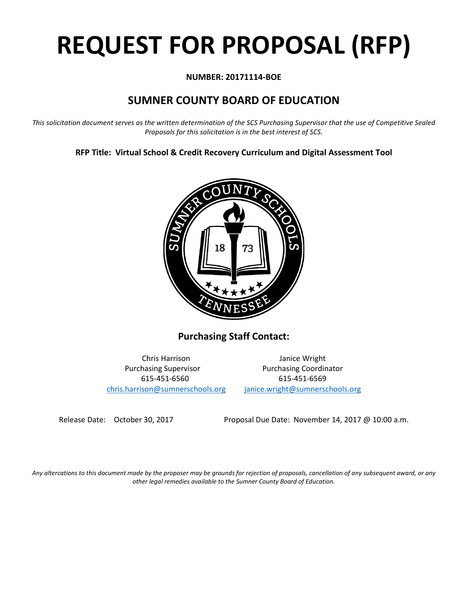# **REQUEST FOR PROPOSAL (RFP)**

# **NUMBER: 20171114-BOE**

# **SUMNER COUNTY BOARD OF EDUCATION**

*This solicitation document serves as the written determination of the SCS Purchasing Supervisor that the use of Competitive Sealed Proposals for this solicitation is in the best interest of SCS.*

**RFP Title: Virtual School & Credit Recovery Curriculum and Digital Assessment Tool**



**Purchasing Staff Contact:**

[chris.harrison@sumnerschools.org](mailto:chris.harrison@sumnerschools.org) [janice.wright@sumnerschools.org](mailto:janice.wright@sumnerschools.org)

Chris Harrison Janice Wright Purchasing Supervisor **Purchasing Coordinator** 615-451-6560 615-451-6569

Release Date: October 30, 2017 Proposal Due Date: November 14, 2017 @ 10:00 a.m.

*Any altercations to this document made by the proposer may be grounds for rejection of proposals, cancellation of any subsequent award, or any other legal remedies available to the Sumner County Board of Education.*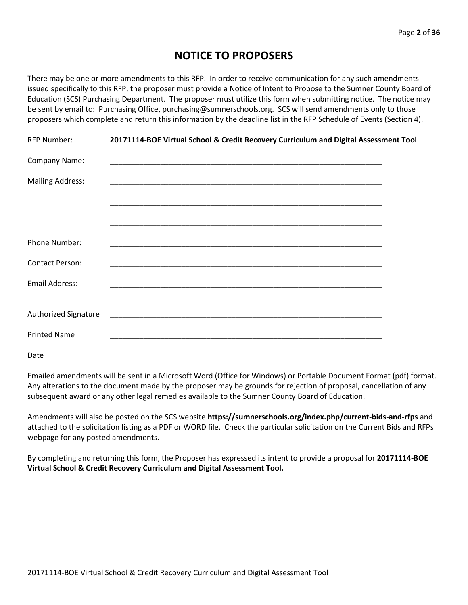# **NOTICE TO PROPOSERS**

There may be one or more amendments to this RFP. In order to receive communication for any such amendments issued specifically to this RFP, the proposer must provide a Notice of Intent to Propose to the Sumner County Board of Education (SCS) Purchasing Department. The proposer must utilize this form when submitting notice. The notice may be sent by email to: Purchasing Office, purchasing@sumnerschools.org. SCS will send amendments only to those proposers which complete and return this information by the deadline list in the RFP Schedule of Events (Section 4).

| RFP Number:             | 20171114-BOE Virtual School & Credit Recovery Curriculum and Digital Assessment Tool |  |
|-------------------------|--------------------------------------------------------------------------------------|--|
| Company Name:           |                                                                                      |  |
| <b>Mailing Address:</b> |                                                                                      |  |
|                         |                                                                                      |  |
|                         |                                                                                      |  |
| <b>Phone Number:</b>    |                                                                                      |  |
| <b>Contact Person:</b>  |                                                                                      |  |
| <b>Email Address:</b>   |                                                                                      |  |
|                         |                                                                                      |  |
| Authorized Signature    |                                                                                      |  |
| <b>Printed Name</b>     |                                                                                      |  |
| Date                    |                                                                                      |  |

Emailed amendments will be sent in a Microsoft Word (Office for Windows) or Portable Document Format (pdf) format. Any alterations to the document made by the proposer may be grounds for rejection of proposal, cancellation of any subsequent award or any other legal remedies available to the Sumner County Board of Education.

Amendments will also be posted on the SCS website **https://sumnerschools.org/index.php/current-bids-and-rfps** and attached to the solicitation listing as a PDF or WORD file. Check the particular solicitation on the Current Bids and RFPs webpage for any posted amendments.

By completing and returning this form, the Proposer has expressed its intent to provide a proposal for **20171114-BOE Virtual School & Credit Recovery Curriculum and Digital Assessment Tool.**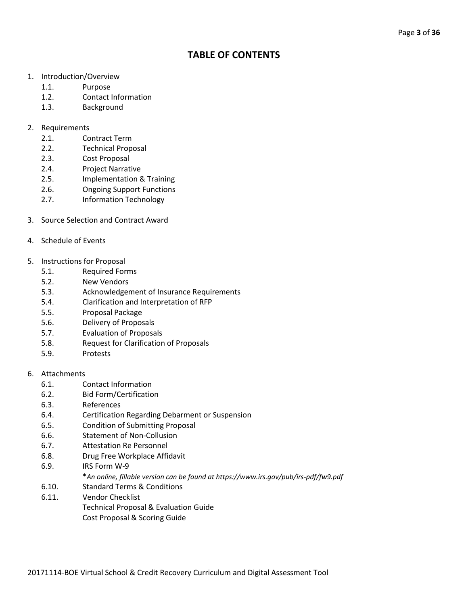# **TABLE OF CONTENTS**

- 1. Introduction/Overview
	- 1.1. Purpose
	- 1.2. Contact Information
	- 1.3. Background

#### 2. Requirements

- 2.1. Contract Term
- 2.2. Technical Proposal
- 2.3. Cost Proposal
- 2.4. Project Narrative
- 2.5. Implementation & Training
- 2.6. Ongoing Support Functions
- 2.7. Information Technology
- 3. Source Selection and Contract Award
- 4. Schedule of Events
- 5. Instructions for Proposal
	- 5.1. Required Forms
	- 5.2. New Vendors
	- 5.3. Acknowledgement of Insurance Requirements
	- 5.4. Clarification and Interpretation of RFP
	- 5.5. Proposal Package
	- 5.6. Delivery of Proposals
	- 5.7. Evaluation of Proposals
	- 5.8. Request for Clarification of Proposals
	- 5.9. Protests

# 6. Attachments

- 6.1. Contact Information
- 6.2. Bid Form/Certification
- 6.3. References
- 6.4. Certification Regarding Debarment or Suspension
- 6.5. Condition of Submitting Proposal
- 6.6. Statement of Non-Collusion
- 6.7. Attestation Re Personnel
- 6.8. Drug Free Workplace Affidavit
- 6.9. IRS Form W-9
	- \**An online, fillable version can be found at https://www.irs.gov/pub/irs-pdf/fw9.pdf*
- 6.10. Standard Terms & Conditions
- 6.11. Vendor Checklist
	- Technical Proposal & Evaluation Guide
		- Cost Proposal & Scoring Guide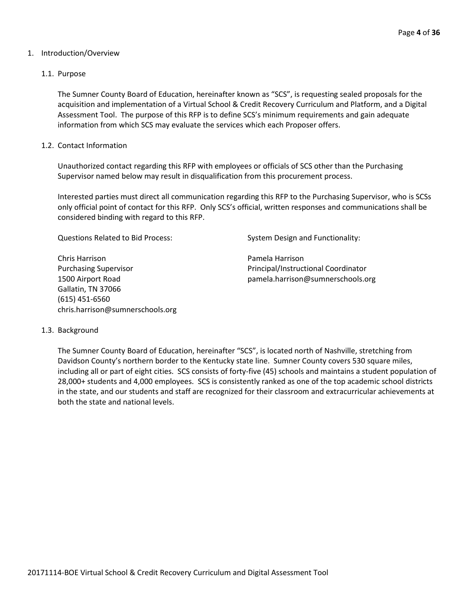#### 1. Introduction/Overview

#### 1.1. Purpose

The Sumner County Board of Education, hereinafter known as "SCS", is requesting sealed proposals for the acquisition and implementation of a Virtual School & Credit Recovery Curriculum and Platform, and a Digital Assessment Tool. The purpose of this RFP is to define SCS's minimum requirements and gain adequate information from which SCS may evaluate the services which each Proposer offers.

#### 1.2. Contact Information

Unauthorized contact regarding this RFP with employees or officials of SCS other than the Purchasing Supervisor named below may result in disqualification from this procurement process.

Interested parties must direct all communication regarding this RFP to the Purchasing Supervisor, who is SCSs only official point of contact for this RFP. Only SCS's official, written responses and communications shall be considered binding with regard to this RFP.

Questions Related to Bid Process: System Design and Functionality:

Chris Harrison Pamela Harrison Purchasing Supervisor **Principal**/Instructional Coordinator Gallatin, TN 37066 (615) 451-6560 chris.harrison@sumnerschools.org

1500 Airport Road pamela.harrison@sumnerschools.org

#### 1.3. Background

The Sumner County Board of Education, hereinafter "SCS", is located north of Nashville, stretching from Davidson County's northern border to the Kentucky state line. Sumner County covers 530 square miles, including all or part of eight cities. SCS consists of forty-five (45) schools and maintains a student population of 28,000+ students and 4,000 employees. SCS is consistently ranked as one of the top academic school districts in the state, and our students and staff are recognized for their classroom and extracurricular achievements at both the state and national levels.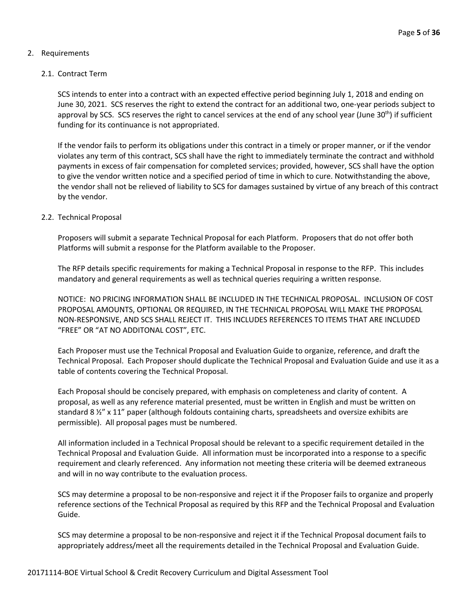# 2. Requirements

## 2.1. Contract Term

SCS intends to enter into a contract with an expected effective period beginning July 1, 2018 and ending on June 30, 2021. SCS reserves the right to extend the contract for an additional two, one-year periods subject to approval by SCS. SCS reserves the right to cancel services at the end of any school year (June  $30^{th}$ ) if sufficient funding for its continuance is not appropriated.

If the vendor fails to perform its obligations under this contract in a timely or proper manner, or if the vendor violates any term of this contract, SCS shall have the right to immediately terminate the contract and withhold payments in excess of fair compensation for completed services; provided, however, SCS shall have the option to give the vendor written notice and a specified period of time in which to cure. Notwithstanding the above, the vendor shall not be relieved of liability to SCS for damages sustained by virtue of any breach of this contract by the vendor.

#### 2.2. Technical Proposal

Proposers will submit a separate Technical Proposal for each Platform. Proposers that do not offer both Platforms will submit a response for the Platform available to the Proposer.

The RFP details specific requirements for making a Technical Proposal in response to the RFP. This includes mandatory and general requirements as well as technical queries requiring a written response.

NOTICE: NO PRICING INFORMATION SHALL BE INCLUDED IN THE TECHNICAL PROPOSAL. INCLUSION OF COST PROPOSAL AMOUNTS, OPTIONAL OR REQUIRED, IN THE TECHNICAL PROPOSAL WILL MAKE THE PROPOSAL NON-RESPONSIVE, AND SCS SHALL REJECT IT. THIS INCLUDES REFERENCES TO ITEMS THAT ARE INCLUDED "FREE" OR "AT NO ADDITONAL COST", ETC.

Each Proposer must use the Technical Proposal and Evaluation Guide to organize, reference, and draft the Technical Proposal. Each Proposer should duplicate the Technical Proposal and Evaluation Guide and use it as a table of contents covering the Technical Proposal.

Each Proposal should be concisely prepared, with emphasis on completeness and clarity of content. A proposal, as well as any reference material presented, must be written in English and must be written on standard 8 ½" x 11" paper (although foldouts containing charts, spreadsheets and oversize exhibits are permissible). All proposal pages must be numbered.

All information included in a Technical Proposal should be relevant to a specific requirement detailed in the Technical Proposal and Evaluation Guide. All information must be incorporated into a response to a specific requirement and clearly referenced. Any information not meeting these criteria will be deemed extraneous and will in no way contribute to the evaluation process.

SCS may determine a proposal to be non-responsive and reject it if the Proposer fails to organize and properly reference sections of the Technical Proposal as required by this RFP and the Technical Proposal and Evaluation Guide.

SCS may determine a proposal to be non-responsive and reject it if the Technical Proposal document fails to appropriately address/meet all the requirements detailed in the Technical Proposal and Evaluation Guide.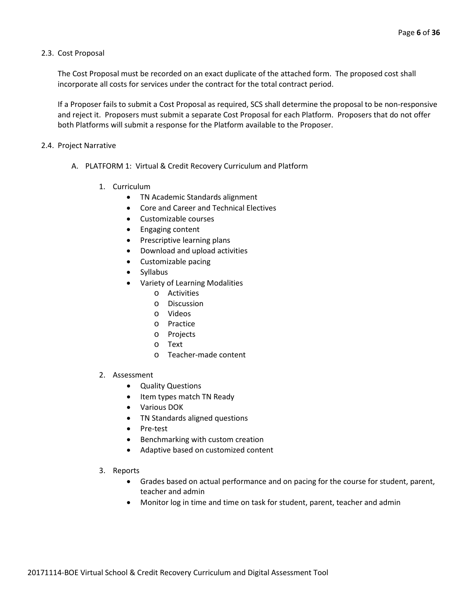#### 2.3. Cost Proposal

The Cost Proposal must be recorded on an exact duplicate of the attached form. The proposed cost shall incorporate all costs for services under the contract for the total contract period.

If a Proposer fails to submit a Cost Proposal as required, SCS shall determine the proposal to be non-responsive and reject it. Proposers must submit a separate Cost Proposal for each Platform. Proposers that do not offer both Platforms will submit a response for the Platform available to the Proposer.

#### 2.4. Project Narrative

- A. PLATFORM 1: Virtual & Credit Recovery Curriculum and Platform
	- 1. Curriculum
		- TN Academic Standards alignment
		- Core and Career and Technical Electives
		- Customizable courses
		- Engaging content
		- Prescriptive learning plans
		- Download and upload activities
		- Customizable pacing
		- Syllabus
		- Variety of Learning Modalities
			- o Activities
			- o Discussion
			- o Videos
			- o Practice
			- o Projects
			- o Text
			- o Teacher-made content

#### 2. Assessment

- Quality Questions
- Item types match TN Ready
- Various DOK
- TN Standards aligned questions
- Pre-test
- Benchmarking with custom creation
- Adaptive based on customized content
- 3. Reports
	- Grades based on actual performance and on pacing for the course for student, parent, teacher and admin
	- Monitor log in time and time on task for student, parent, teacher and admin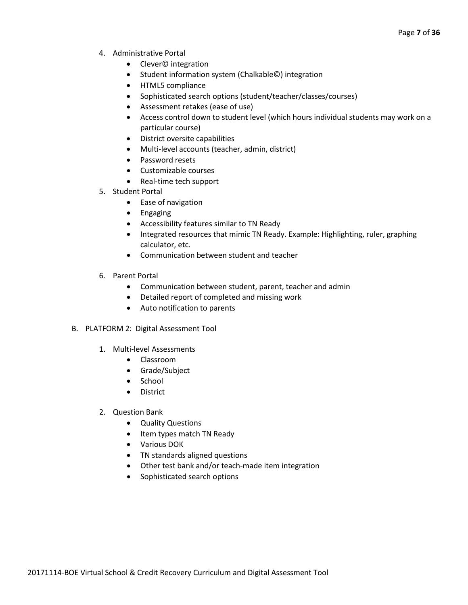- 4. Administrative Portal
	- Clever© integration
	- Student information system (Chalkable©) integration
	- HTML5 compliance
	- Sophisticated search options (student/teacher/classes/courses)
	- Assessment retakes (ease of use)
	- Access control down to student level (which hours individual students may work on a particular course)
	- District oversite capabilities
	- Multi-level accounts (teacher, admin, district)
	- Password resets
	- Customizable courses
	- Real-time tech support
- 5. Student Portal
	- Ease of navigation
	- Engaging
	- Accessibility features similar to TN Ready
	- Integrated resources that mimic TN Ready. Example: Highlighting, ruler, graphing calculator, etc.
	- Communication between student and teacher
- 6. Parent Portal
	- Communication between student, parent, teacher and admin
	- Detailed report of completed and missing work
	- Auto notification to parents
- B. PLATFORM 2: Digital Assessment Tool
	- 1. Multi-level Assessments
		- Classroom
		- Grade/Subject
		- School
		- District
	- 2. Question Bank
		- Quality Questions
		- Item types match TN Ready
		- Various DOK
		- TN standards aligned questions
		- Other test bank and/or teach-made item integration
		- Sophisticated search options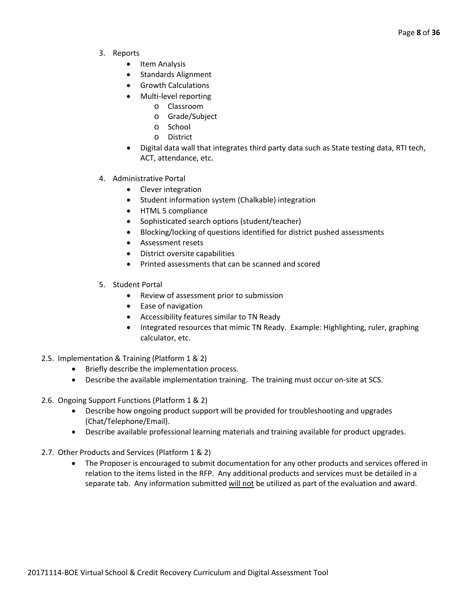- 3. Reports
	- Item Analysis
	- Standards Alignment
	- Growth Calculations
	- Multi-level reporting
		- o Classroom
		- o Grade/Subject
		- o School
		- o District
	- Digital data wall that integrates third party data such as State testing data, RTI tech, ACT, attendance, etc.
- 4. Administrative Portal
	- Clever integration
	- Student information system (Chalkable) integration
	- HTML 5 compliance
	- Sophisticated search options (student/teacher)
	- Blocking/locking of questions identified for district pushed assessments
	- Assessment resets
	- District oversite capabilities
	- Printed assessments that can be scanned and scored
- 5. Student Portal
	- Review of assessment prior to submission
	- Ease of navigation
	- Accessibility features similar to TN Ready
	- Integrated resources that mimic TN Ready. Example: Highlighting, ruler, graphing calculator, etc.
- 2.5. Implementation & Training (Platform 1 & 2)
	- Briefly describe the implementation process.
	- Describe the available implementation training. The training must occur on-site at SCS.

2.6. Ongoing Support Functions (Platform 1 & 2)

- Describe how ongoing product support will be provided for troubleshooting and upgrades (Chat/Telephone/Email).
- Describe available professional learning materials and training available for product upgrades.
- 2.7. Other Products and Services (Platform 1 & 2)
	- The Proposer is encouraged to submit documentation for any other products and services offered in relation to the items listed in the RFP. Any additional products and services must be detailed in a separate tab. Any information submitted will not be utilized as part of the evaluation and award.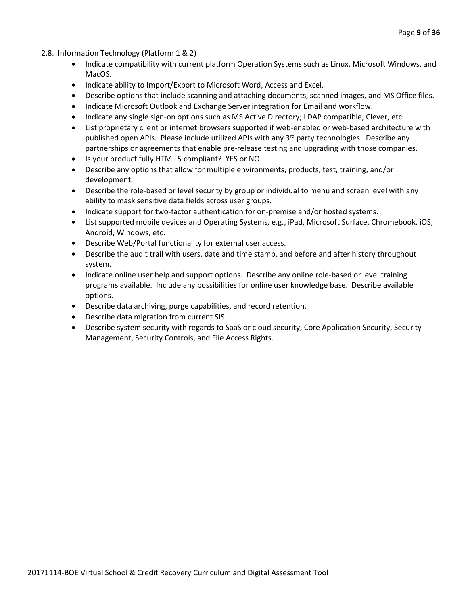- 2.8. Information Technology (Platform 1 & 2)
	- Indicate compatibility with current platform Operation Systems such as Linux, Microsoft Windows, and MacOS.
	- Indicate ability to Import/Export to Microsoft Word, Access and Excel.
	- Describe options that include scanning and attaching documents, scanned images, and MS Office files.
	- Indicate Microsoft Outlook and Exchange Server integration for Email and workflow.
	- Indicate any single sign-on options such as MS Active Directory; LDAP compatible, Clever, etc.
	- List proprietary client or internet browsers supported if web-enabled or web-based architecture with published open APIs. Please include utilized APIs with any 3<sup>rd</sup> party technologies. Describe any partnerships or agreements that enable pre-release testing and upgrading with those companies.
	- Is your product fully HTML 5 compliant? YES or NO
	- Describe any options that allow for multiple environments, products, test, training, and/or development.
	- Describe the role-based or level security by group or individual to menu and screen level with any ability to mask sensitive data fields across user groups.
	- Indicate support for two-factor authentication for on-premise and/or hosted systems.
	- List supported mobile devices and Operating Systems, e.g., iPad, Microsoft Surface, Chromebook, iOS, Android, Windows, etc.
	- Describe Web/Portal functionality for external user access.
	- Describe the audit trail with users, date and time stamp, and before and after history throughout system.
	- Indicate online user help and support options. Describe any online role-based or level training programs available. Include any possibilities for online user knowledge base. Describe available options.
	- Describe data archiving, purge capabilities, and record retention.
	- Describe data migration from current SIS.
	- Describe system security with regards to SaaS or cloud security, Core Application Security, Security Management, Security Controls, and File Access Rights.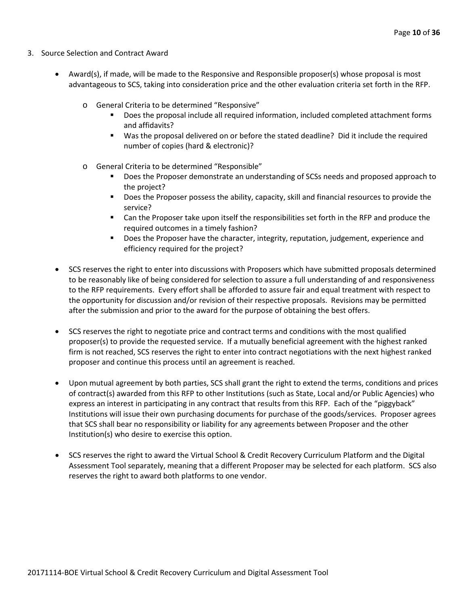- 3. Source Selection and Contract Award
	- Award(s), if made, will be made to the Responsive and Responsible proposer(s) whose proposal is most advantageous to SCS, taking into consideration price and the other evaluation criteria set forth in the RFP.
		- o General Criteria to be determined "Responsive"
			- Does the proposal include all required information, included completed attachment forms and affidavits?
			- Was the proposal delivered on or before the stated deadline? Did it include the required number of copies (hard & electronic)?
		- o General Criteria to be determined "Responsible"
			- Does the Proposer demonstrate an understanding of SCSs needs and proposed approach to the project?
			- **Does the Proposer possess the ability, capacity, skill and financial resources to provide the** service?
			- Can the Proposer take upon itself the responsibilities set forth in the RFP and produce the required outcomes in a timely fashion?
			- **Does the Proposer have the character, integrity, reputation, judgement, experience and** efficiency required for the project?
	- SCS reserves the right to enter into discussions with Proposers which have submitted proposals determined to be reasonably like of being considered for selection to assure a full understanding of and responsiveness to the RFP requirements. Every effort shall be afforded to assure fair and equal treatment with respect to the opportunity for discussion and/or revision of their respective proposals. Revisions may be permitted after the submission and prior to the award for the purpose of obtaining the best offers.
	- SCS reserves the right to negotiate price and contract terms and conditions with the most qualified proposer(s) to provide the requested service. If a mutually beneficial agreement with the highest ranked firm is not reached, SCS reserves the right to enter into contract negotiations with the next highest ranked proposer and continue this process until an agreement is reached.
	- Upon mutual agreement by both parties, SCS shall grant the right to extend the terms, conditions and prices of contract(s) awarded from this RFP to other Institutions (such as State, Local and/or Public Agencies) who express an interest in participating in any contract that results from this RFP. Each of the "piggyback" Institutions will issue their own purchasing documents for purchase of the goods/services. Proposer agrees that SCS shall bear no responsibility or liability for any agreements between Proposer and the other Institution(s) who desire to exercise this option.
	- SCS reserves the right to award the Virtual School & Credit Recovery Curriculum Platform and the Digital Assessment Tool separately, meaning that a different Proposer may be selected for each platform. SCS also reserves the right to award both platforms to one vendor.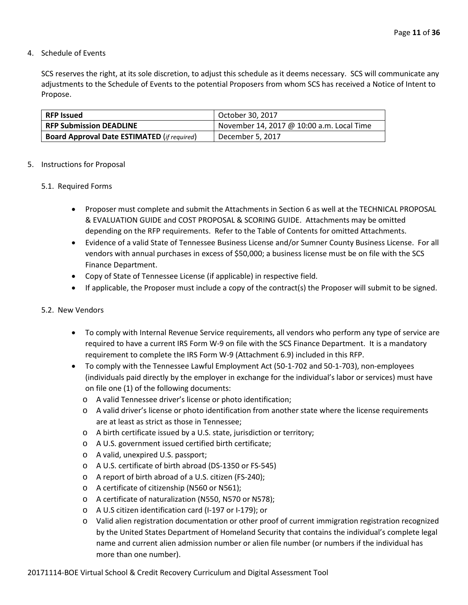#### 4. Schedule of Events

SCS reserves the right, at its sole discretion, to adjust this schedule as it deems necessary. SCS will communicate any adjustments to the Schedule of Events to the potential Proposers from whom SCS has received a Notice of Intent to Propose.

| <b>RFP Issued</b>                                  | October 30, 2017                          |
|----------------------------------------------------|-------------------------------------------|
| <b>RFP Submission DEADLINE</b>                     | November 14, 2017 @ 10:00 a.m. Local Time |
| <b>Board Approval Date ESTIMATED (if required)</b> | December 5, 2017                          |

#### 5. Instructions for Proposal

#### 5.1. Required Forms

- Proposer must complete and submit the Attachments in Section 6 as well at the TECHNICAL PROPOSAL & EVALUATION GUIDE and COST PROPOSAL & SCORING GUIDE. Attachments may be omitted depending on the RFP requirements. Refer to the Table of Contents for omitted Attachments.
- Evidence of a valid State of Tennessee Business License and/or Sumner County Business License. For all vendors with annual purchases in excess of \$50,000; a business license must be on file with the SCS Finance Department.
- Copy of State of Tennessee License (if applicable) in respective field.
- If applicable, the Proposer must include a copy of the contract(s) the Proposer will submit to be signed.

#### 5.2. New Vendors

- To comply with Internal Revenue Service requirements, all vendors who perform any type of service are required to have a current IRS Form W-9 on file with the SCS Finance Department. It is a mandatory requirement to complete the IRS Form W-9 (Attachment 6.9) included in this RFP.
- To comply with the Tennessee Lawful Employment Act (50-1-702 and 50-1-703), non-employees (individuals paid directly by the employer in exchange for the individual's labor or services) must have on file one (1) of the following documents:
	- o A valid Tennessee driver's license or photo identification;
	- o A valid driver's license or photo identification from another state where the license requirements are at least as strict as those in Tennessee;
	- o A birth certificate issued by a U.S. state, jurisdiction or territory;
	- o A U.S. government issued certified birth certificate;
	- o A valid, unexpired U.S. passport;
	- o A U.S. certificate of birth abroad (DS-1350 or FS-545)
	- o A report of birth abroad of a U.S. citizen (FS-240);
	- o A certificate of citizenship (N560 or N561);
	- o A certificate of naturalization (N550, N570 or N578);
	- o A U.S citizen identification card (I-197 or I-179); or
	- o Valid alien registration documentation or other proof of current immigration registration recognized by the United States Department of Homeland Security that contains the individual's complete legal name and current alien admission number or alien file number (or numbers if the individual has more than one number).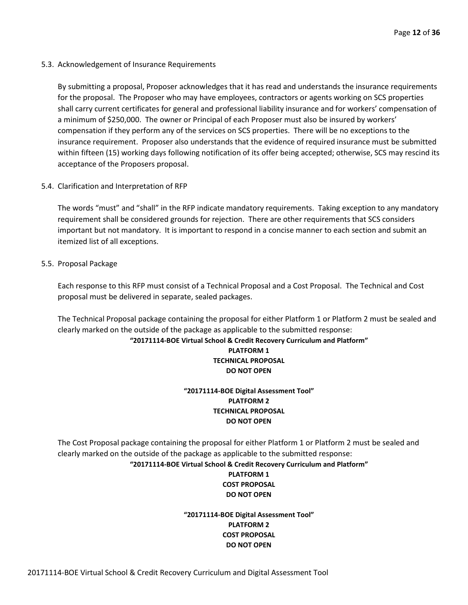5.3. Acknowledgement of Insurance Requirements

By submitting a proposal, Proposer acknowledges that it has read and understands the insurance requirements for the proposal. The Proposer who may have employees, contractors or agents working on SCS properties shall carry current certificates for general and professional liability insurance and for workers' compensation of a minimum of \$250,000. The owner or Principal of each Proposer must also be insured by workers' compensation if they perform any of the services on SCS properties. There will be no exceptions to the insurance requirement. Proposer also understands that the evidence of required insurance must be submitted within fifteen (15) working days following notification of its offer being accepted; otherwise, SCS may rescind its acceptance of the Proposers proposal.

5.4. Clarification and Interpretation of RFP

The words "must" and "shall" in the RFP indicate mandatory requirements. Taking exception to any mandatory requirement shall be considered grounds for rejection. There are other requirements that SCS considers important but not mandatory. It is important to respond in a concise manner to each section and submit an itemized list of all exceptions.

5.5. Proposal Package

Each response to this RFP must consist of a Technical Proposal and a Cost Proposal. The Technical and Cost proposal must be delivered in separate, sealed packages.

The Technical Proposal package containing the proposal for either Platform 1 or Platform 2 must be sealed and clearly marked on the outside of the package as applicable to the submitted response:

## **"20171114-BOE Virtual School & Credit Recovery Curriculum and Platform" PLATFORM 1 TECHNICAL PROPOSAL DO NOT OPEN**

# **"20171114-BOE Digital Assessment Tool" PLATFORM 2 TECHNICAL PROPOSAL DO NOT OPEN**

The Cost Proposal package containing the proposal for either Platform 1 or Platform 2 must be sealed and clearly marked on the outside of the package as applicable to the submitted response:

#### **"20171114-BOE Virtual School & Credit Recovery Curriculum and Platform" PLATFORM 1**

# **COST PROPOSAL DO NOT OPEN**

## **"20171114-BOE Digital Assessment Tool" PLATFORM 2 COST PROPOSAL DO NOT OPEN**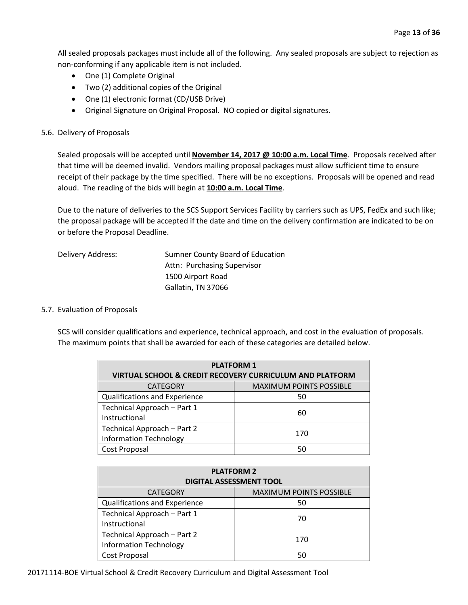All sealed proposals packages must include all of the following. Any sealed proposals are subject to rejection as non-conforming if any applicable item is not included.

- One (1) Complete Original
- Two (2) additional copies of the Original
- One (1) electronic format (CD/USB Drive)
- Original Signature on Original Proposal. NO copied or digital signatures.

#### 5.6. Delivery of Proposals

Sealed proposals will be accepted until **November 14, 2017 @ 10:00 a.m. Local Time**. Proposals received after that time will be deemed invalid. Vendors mailing proposal packages must allow sufficient time to ensure receipt of their package by the time specified. There will be no exceptions. Proposals will be opened and read aloud. The reading of the bids will begin at **10:00 a.m. Local Time**.

Due to the nature of deliveries to the SCS Support Services Facility by carriers such as UPS, FedEx and such like; the proposal package will be accepted if the date and time on the delivery confirmation are indicated to be on or before the Proposal Deadline.

| Delivery Address: | Sumner County Board of Education |
|-------------------|----------------------------------|
|                   | Attn: Purchasing Supervisor      |
|                   | 1500 Airport Road                |
|                   | Gallatin, TN 37066               |

#### 5.7. Evaluation of Proposals

SCS will consider qualifications and experience, technical approach, and cost in the evaluation of proposals. The maximum points that shall be awarded for each of these categories are detailed below.

| <b>PLATFORM 1</b>                                                   |                                |  |  |  |  |
|---------------------------------------------------------------------|--------------------------------|--|--|--|--|
| <b>VIRTUAL SCHOOL &amp; CREDIT RECOVERY CURRICULUM AND PLATFORM</b> |                                |  |  |  |  |
| <b>CATEGORY</b>                                                     | <b>MAXIMUM POINTS POSSIBLE</b> |  |  |  |  |
| <b>Qualifications and Experience</b>                                | 50                             |  |  |  |  |
| Technical Approach - Part 1                                         | 60                             |  |  |  |  |
| Instructional                                                       |                                |  |  |  |  |
| Technical Approach - Part 2                                         | 170                            |  |  |  |  |
| <b>Information Technology</b>                                       |                                |  |  |  |  |
| Cost Proposal                                                       | 50                             |  |  |  |  |

| <b>PLATFORM 2</b><br><b>DIGITAL ASSESSMENT TOOL</b>          |                                |  |  |  |  |
|--------------------------------------------------------------|--------------------------------|--|--|--|--|
| <b>CATEGORY</b>                                              | <b>MAXIMUM POINTS POSSIBLE</b> |  |  |  |  |
| Qualifications and Experience                                | 50                             |  |  |  |  |
| Technical Approach - Part 1<br>Instructional                 | 70                             |  |  |  |  |
| Technical Approach - Part 2<br><b>Information Technology</b> | 170                            |  |  |  |  |
| Cost Proposal                                                | 50                             |  |  |  |  |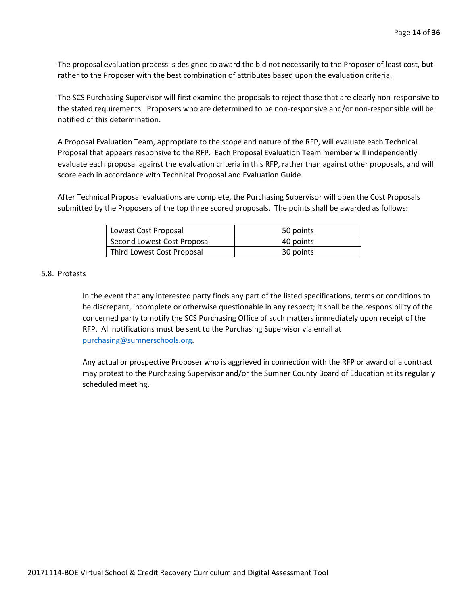The proposal evaluation process is designed to award the bid not necessarily to the Proposer of least cost, but rather to the Proposer with the best combination of attributes based upon the evaluation criteria.

The SCS Purchasing Supervisor will first examine the proposals to reject those that are clearly non-responsive to the stated requirements. Proposers who are determined to be non-responsive and/or non-responsible will be notified of this determination.

A Proposal Evaluation Team, appropriate to the scope and nature of the RFP, will evaluate each Technical Proposal that appears responsive to the RFP. Each Proposal Evaluation Team member will independently evaluate each proposal against the evaluation criteria in this RFP, rather than against other proposals, and will score each in accordance with Technical Proposal and Evaluation Guide.

After Technical Proposal evaluations are complete, the Purchasing Supervisor will open the Cost Proposals submitted by the Proposers of the top three scored proposals. The points shall be awarded as follows:

| Lowest Cost Proposal        | 50 points |
|-----------------------------|-----------|
| Second Lowest Cost Proposal | 40 points |
| Third Lowest Cost Proposal  | 30 points |

#### 5.8. Protests

In the event that any interested party finds any part of the listed specifications, terms or conditions to be discrepant, incomplete or otherwise questionable in any respect; it shall be the responsibility of the concerned party to notify the SCS Purchasing Office of such matters immediately upon receipt of the RFP. All notifications must be sent to the Purchasing Supervisor via email at [purchasing@sumnerschools.org.](mailto:purchasing@sumnerschools.org)

Any actual or prospective Proposer who is aggrieved in connection with the RFP or award of a contract may protest to the Purchasing Supervisor and/or the Sumner County Board of Education at its regularly scheduled meeting.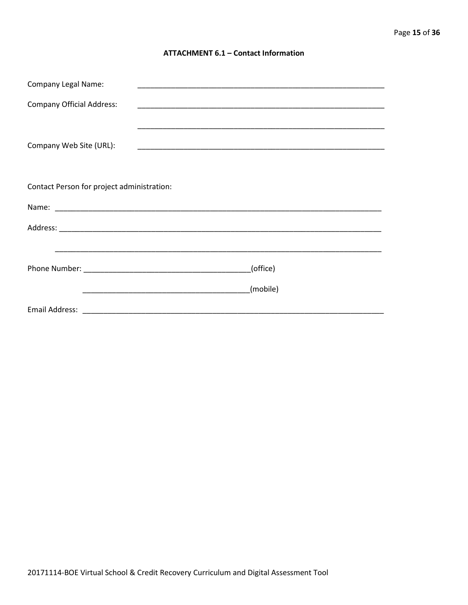#### **ATTACHMENT 6.1 - Contact Information**

| <b>Company Legal Name:</b>                 |                                                                                                                                  |  |  |  |  |  |  |
|--------------------------------------------|----------------------------------------------------------------------------------------------------------------------------------|--|--|--|--|--|--|
| <b>Company Official Address:</b>           |                                                                                                                                  |  |  |  |  |  |  |
|                                            |                                                                                                                                  |  |  |  |  |  |  |
| Company Web Site (URL):                    |                                                                                                                                  |  |  |  |  |  |  |
|                                            |                                                                                                                                  |  |  |  |  |  |  |
| Contact Person for project administration: |                                                                                                                                  |  |  |  |  |  |  |
|                                            |                                                                                                                                  |  |  |  |  |  |  |
|                                            |                                                                                                                                  |  |  |  |  |  |  |
|                                            |                                                                                                                                  |  |  |  |  |  |  |
|                                            | (office)                                                                                                                         |  |  |  |  |  |  |
|                                            | (mobile)<br><u> 1990 - Jan James James James James James James James James James James James James James James James James J</u> |  |  |  |  |  |  |
|                                            |                                                                                                                                  |  |  |  |  |  |  |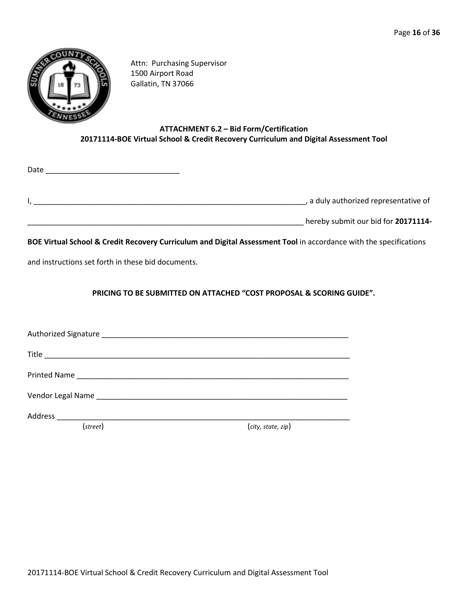

Attn: Purchasing Supervisor 1500 Airport Road Gallatin, TN 37066

# **ATTACHMENT 6.2 – Bid Form/Certification 20171114-BOE Virtual School & Credit Recovery Curriculum and Digital Assessment Tool**

I, the contractive of the contractive of the contractive of the contractive of the contractive of the contractive of

\_\_\_\_\_\_\_\_\_\_\_\_\_\_\_\_\_\_\_\_\_\_\_\_\_\_\_\_\_\_\_\_\_\_\_\_\_\_\_\_\_\_\_\_\_\_\_\_\_\_\_\_\_\_\_\_\_\_\_\_\_\_\_\_\_\_ hereby submit our bid for **20171114-**

**BOE Virtual School & Credit Recovery Curriculum and Digital Assessment Tool** in accordance with the specifications

and instructions set forth in these bid documents.

 $Date$ 

**PRICING TO BE SUBMITTED ON ATTACHED "COST PROPOSAL & SCORING GUIDE".**

Authorized Signature \_\_\_\_\_\_\_\_\_\_\_\_\_\_\_\_\_\_\_\_\_\_\_\_\_\_\_\_\_\_\_\_\_\_\_\_\_\_\_\_\_\_\_\_\_\_\_\_\_\_\_\_\_\_\_\_\_\_\_ Title \_\_\_\_\_\_\_\_\_\_\_\_\_\_\_\_\_\_\_\_\_\_\_\_\_\_\_\_\_\_\_\_\_\_\_\_\_\_\_\_\_\_\_\_\_\_\_\_\_\_\_\_\_\_\_\_\_\_\_\_\_\_\_\_\_\_\_\_\_\_\_\_\_ Printed Name and the set of the set of the set of the set of the set of the set of the set of the set of the set of the set of the set of the set of the set of the set of the set of the set of the set of the set of the set Vendor Legal Name \_\_\_\_\_\_\_\_\_\_\_\_\_\_\_\_\_\_\_\_\_\_\_\_\_\_\_\_\_\_\_\_\_\_\_\_\_\_\_\_\_\_\_\_\_\_\_\_\_\_\_\_\_\_\_\_\_\_\_\_ Address \_\_\_\_\_\_\_\_\_\_\_\_\_\_\_\_\_\_\_\_\_\_\_\_\_\_\_\_\_\_\_\_\_\_\_\_\_\_\_\_\_\_\_\_\_\_\_\_\_\_\_\_\_\_\_\_\_\_\_\_\_\_\_\_\_\_\_\_\_\_ (*street*) (*city, state, zip*)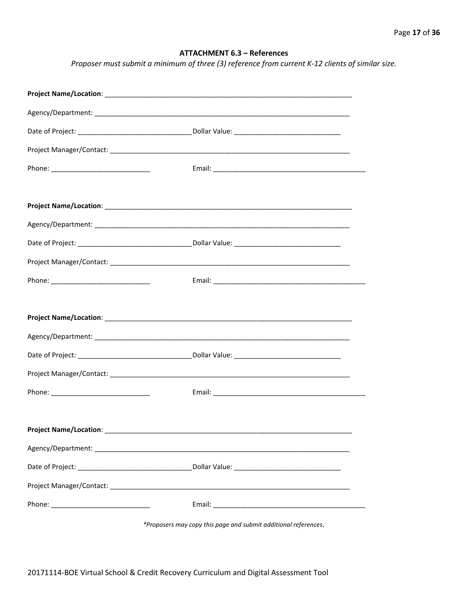# **ATTACHMENT 6.3 – References**

*Proposer must submit a minimum of three (3) reference from current K-12 clients of similar size.*

| *Proposers may copy this page and submit additional references. |
|-----------------------------------------------------------------|

20171114-BOE Virtual School & Credit Recovery Curriculum and Digital Assessment Tool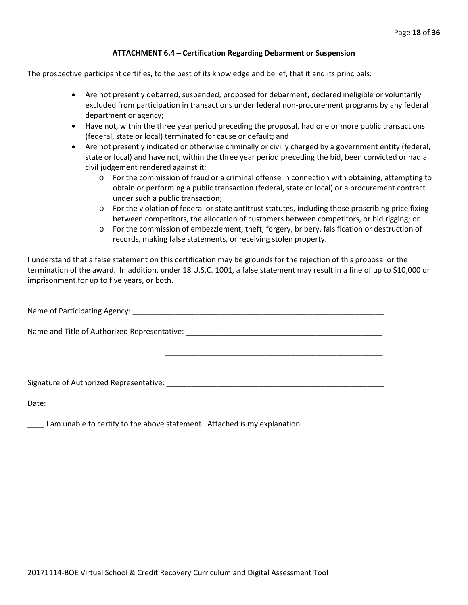#### **ATTACHMENT 6.4 – Certification Regarding Debarment or Suspension**

The prospective participant certifies, to the best of its knowledge and belief, that it and its principals:

- Are not presently debarred, suspended, proposed for debarment, declared ineligible or voluntarily excluded from participation in transactions under federal non-procurement programs by any federal department or agency;
- Have not, within the three year period preceding the proposal, had one or more public transactions (federal, state or local) terminated for cause or default; and
- Are not presently indicated or otherwise criminally or civilly charged by a government entity (federal, state or local) and have not, within the three year period preceding the bid, been convicted or had a civil judgement rendered against it:
	- o For the commission of fraud or a criminal offense in connection with obtaining, attempting to obtain or performing a public transaction (federal, state or local) or a procurement contract under such a public transaction;
	- o For the violation of federal or state antitrust statutes, including those proscribing price fixing between competitors, the allocation of customers between competitors, or bid rigging; or
	- o For the commission of embezzlement, theft, forgery, bribery, falsification or destruction of records, making false statements, or receiving stolen property.

\_\_\_\_\_\_\_\_\_\_\_\_\_\_\_\_\_\_\_\_\_\_\_\_\_\_\_\_\_\_\_\_\_\_\_\_\_\_\_\_\_\_\_\_\_\_\_\_\_\_\_\_

I understand that a false statement on this certification may be grounds for the rejection of this proposal or the termination of the award. In addition, under 18 U.S.C. 1001, a false statement may result in a fine of up to \$10,000 or imprisonment for up to five years, or both.

Name of Participating Agency: \_\_\_\_\_\_\_\_\_\_\_\_\_\_\_\_\_\_\_\_\_\_\_\_\_\_\_\_\_\_\_\_\_\_\_\_\_\_\_\_\_\_\_\_\_\_\_\_\_\_\_\_\_\_\_\_\_\_\_\_

Name and Title of Authorized Representative: \_\_\_\_\_\_\_\_\_\_\_\_\_\_\_\_\_\_\_\_\_\_\_\_\_\_\_\_\_\_\_\_\_\_\_\_\_\_\_\_\_\_\_\_\_\_\_

Signature of Authorized Representative: \_\_\_\_\_\_\_\_\_\_\_\_\_\_\_\_\_\_\_\_\_\_\_\_\_\_\_\_\_\_\_\_\_\_\_\_\_\_\_\_\_\_\_\_\_\_\_\_\_\_\_\_

Date: \_\_\_\_\_\_\_\_\_\_\_\_\_\_\_\_\_\_\_\_\_\_\_\_\_\_\_\_

\_\_\_\_ I am unable to certify to the above statement. Attached is my explanation.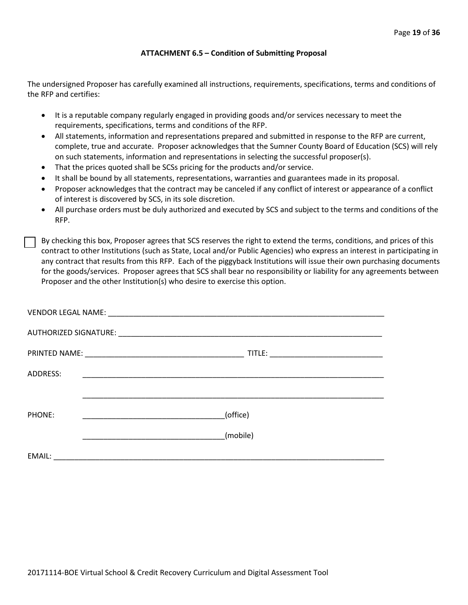#### **ATTACHMENT 6.5 – Condition of Submitting Proposal**

The undersigned Proposer has carefully examined all instructions, requirements, specifications, terms and conditions of the RFP and certifies:

- It is a reputable company regularly engaged in providing goods and/or services necessary to meet the requirements, specifications, terms and conditions of the RFP.
- All statements, information and representations prepared and submitted in response to the RFP are current, complete, true and accurate. Proposer acknowledges that the Sumner County Board of Education (SCS) will rely on such statements, information and representations in selecting the successful proposer(s).
- That the prices quoted shall be SCSs pricing for the products and/or service.
- It shall be bound by all statements, representations, warranties and guarantees made in its proposal.
- Proposer acknowledges that the contract may be canceled if any conflict of interest or appearance of a conflict of interest is discovered by SCS, in its sole discretion.
- All purchase orders must be duly authorized and executed by SCS and subject to the terms and conditions of the RFP.

By checking this box, Proposer agrees that SCS reserves the right to extend the terms, conditions, and prices of this contract to other Institutions (such as State, Local and/or Public Agencies) who express an interest in participating in any contract that results from this RFP. Each of the piggyback Institutions will issue their own purchasing documents for the goods/services. Proposer agrees that SCS shall bear no responsibility or liability for any agreements between Proposer and the other Institution(s) who desire to exercise this option.

| ADDRESS: |          |
|----------|----------|
|          |          |
| PHONE:   | (office) |
|          | (mobile) |
| EMAIL:   |          |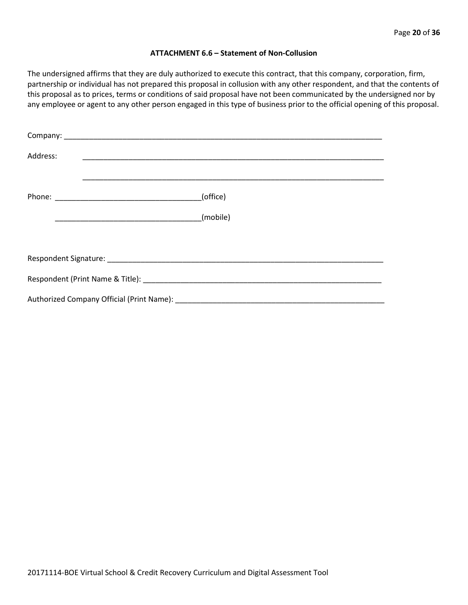#### **ATTACHMENT 6.6 – Statement of Non-Collusion**

The undersigned affirms that they are duly authorized to execute this contract, that this company, corporation, firm, partnership or individual has not prepared this proposal in collusion with any other respondent, and that the contents of this proposal as to prices, terms or conditions of said proposal have not been communicated by the undersigned nor by any employee or agent to any other person engaged in this type of business prior to the official opening of this proposal.

| Address: |          |  |  |  |
|----------|----------|--|--|--|
|          | (office) |  |  |  |
|          | (mobile) |  |  |  |
|          |          |  |  |  |
|          |          |  |  |  |
|          |          |  |  |  |
|          |          |  |  |  |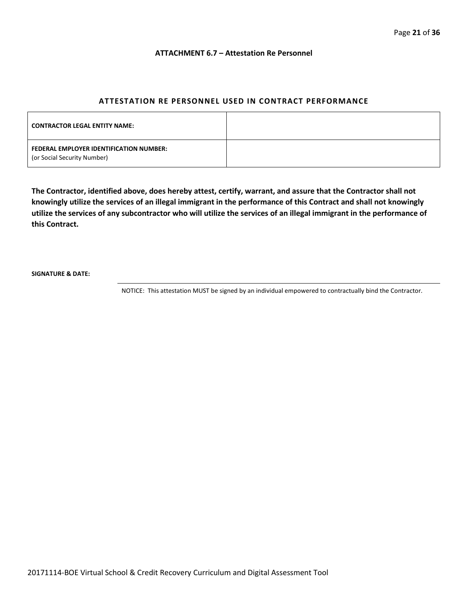#### **ATTACHMENT 6.7 – Attestation Re Personnel**

# **ATTESTATION RE PERSONNEL USED IN CONTRACT PERFORMANCE**

| <b>CONTRACTOR LEGAL ENTITY NAME:</b>                                   |  |
|------------------------------------------------------------------------|--|
| FEDERAL EMPLOYER IDENTIFICATION NUMBER:<br>(or Social Security Number) |  |

**The Contractor, identified above, does hereby attest, certify, warrant, and assure that the Contractor shall not knowingly utilize the services of an illegal immigrant in the performance of this Contract and shall not knowingly utilize the services of any subcontractor who will utilize the services of an illegal immigrant in the performance of this Contract.**

**SIGNATURE & DATE:**

NOTICE: This attestation MUST be signed by an individual empowered to contractually bind the Contractor.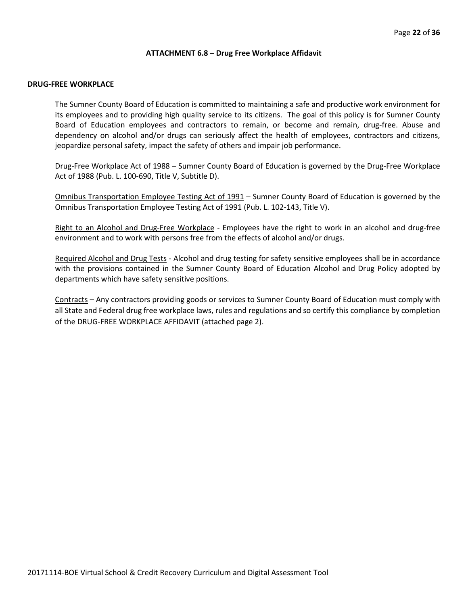#### **ATTACHMENT 6.8 – Drug Free Workplace Affidavit**

#### **DRUG-FREE WORKPLACE**

The Sumner County Board of Education is committed to maintaining a safe and productive work environment for its employees and to providing high quality service to its citizens. The goal of this policy is for Sumner County Board of Education employees and contractors to remain, or become and remain, drug-free. Abuse and dependency on alcohol and/or drugs can seriously affect the health of employees, contractors and citizens, jeopardize personal safety, impact the safety of others and impair job performance.

Drug-Free Workplace Act of 1988 – Sumner County Board of Education is governed by the Drug-Free Workplace Act of 1988 (Pub. L. 100-690, Title V, Subtitle D).

Omnibus Transportation Employee Testing Act of 1991 – Sumner County Board of Education is governed by the Omnibus Transportation Employee Testing Act of 1991 (Pub. L. 102-143, Title V).

Right to an Alcohol and Drug-Free Workplace - Employees have the right to work in an alcohol and drug-free environment and to work with persons free from the effects of alcohol and/or drugs.

Required Alcohol and Drug Tests - Alcohol and drug testing for safety sensitive employees shall be in accordance with the provisions contained in the Sumner County Board of Education Alcohol and Drug Policy adopted by departments which have safety sensitive positions.

Contracts – Any contractors providing goods or services to Sumner County Board of Education must comply with all State and Federal drug free workplace laws, rules and regulations and so certify this compliance by completion of the DRUG-FREE WORKPLACE AFFIDAVIT (attached page 2).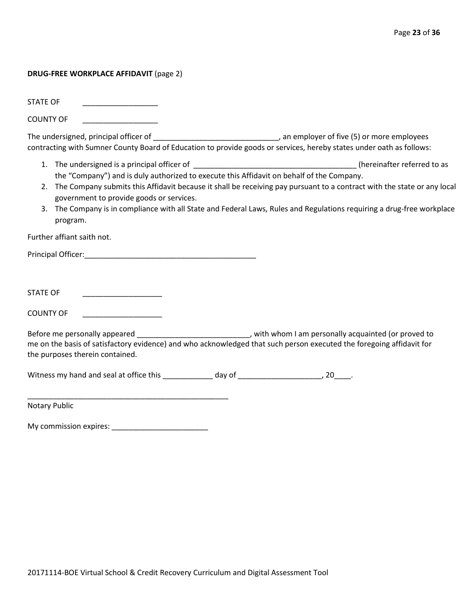#### **DRUG-FREE WORKPLACE AFFIDAVIT** (page 2)

STATE OF

COUNTY OF

The undersigned, principal officer of \_\_\_\_\_\_\_\_\_\_\_\_\_\_\_\_\_\_\_\_\_\_\_\_\_\_\_\_\_\_\_\_\_\_, an employer of five (5) or more employees contracting with Sumner County Board of Education to provide goods or services, hereby states under oath as follows:

- 1. The undersigned is a principal officer of \_\_\_\_\_\_\_\_\_\_\_\_\_\_\_\_\_\_\_\_\_\_\_\_\_\_\_\_\_\_\_\_\_\_\_\_\_\_\_ (hereinafter referred to as the "Company") and is duly authorized to execute this Affidavit on behalf of the Company.
- 2. The Company submits this Affidavit because it shall be receiving pay pursuant to a contract with the state or any local government to provide goods or services.
- 3. The Company is in compliance with all State and Federal Laws, Rules and Regulations requiring a drug-free workplace program.

Further affiant saith not.

Principal Officer:\_\_\_\_\_\_\_\_\_\_\_\_\_\_\_\_\_\_\_\_\_\_\_\_\_\_\_\_\_\_\_\_\_\_\_\_\_\_\_\_\_

STATE OF \_\_\_\_\_\_\_\_\_\_\_\_\_\_\_\_\_\_\_

COUNTY OF

Before me personally appeared \_\_\_\_\_\_\_\_\_\_\_\_\_\_\_\_\_\_\_\_\_\_\_\_\_\_\_\_\_, with whom I am personally acquainted (or proved to me on the basis of satisfactory evidence) and who acknowledged that such person executed the foregoing affidavit for the purposes therein contained.

Witness my hand and seal at office this \_\_\_\_\_\_\_\_\_\_\_\_\_ day of \_\_\_\_\_\_\_\_\_\_\_\_\_\_\_\_\_\_\_\_\_, 20\_\_\_\_\_.

Notary Public

My commission expires: \_\_\_\_\_\_\_\_\_\_\_\_\_\_\_\_\_\_\_\_\_\_\_

\_\_\_\_\_\_\_\_\_\_\_\_\_\_\_\_\_\_\_\_\_\_\_\_\_\_\_\_\_\_\_\_\_\_\_\_\_\_\_\_\_\_\_\_\_\_\_\_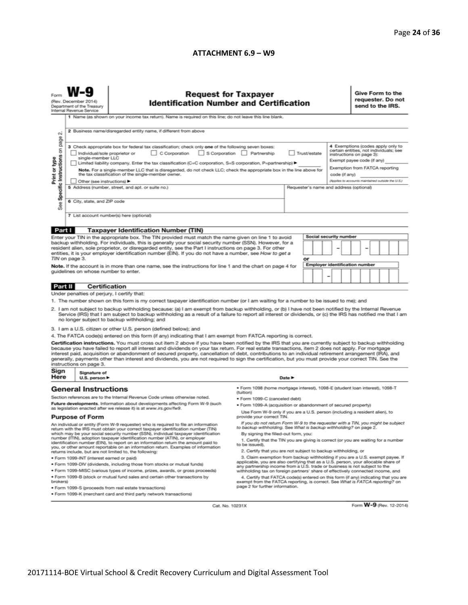# **ATTACHMENT 6.9 – W9**

| (Rev. December 2014)<br>Department of the Treasury<br>Internal Revenue Service<br>1 Name (as shown on your income tax return). Name is required on this line; do not leave this line blank.                                                                                                                                                                                                                                                                                                                                                                                                                                                              |                                                                  |                                                                                                                                                                                                                                                   | <b>Request for Taxpayer</b><br><b>Identification Number and Certification</b>                                                                                          |    |               |                                                                                                                                                                         |                                                   |  | Give Form to the<br>requester. Do not<br>send to the IRS. |  |  |  |  |
|----------------------------------------------------------------------------------------------------------------------------------------------------------------------------------------------------------------------------------------------------------------------------------------------------------------------------------------------------------------------------------------------------------------------------------------------------------------------------------------------------------------------------------------------------------------------------------------------------------------------------------------------------------|------------------------------------------------------------------|---------------------------------------------------------------------------------------------------------------------------------------------------------------------------------------------------------------------------------------------------|------------------------------------------------------------------------------------------------------------------------------------------------------------------------|----|---------------|-------------------------------------------------------------------------------------------------------------------------------------------------------------------------|---------------------------------------------------|--|-----------------------------------------------------------|--|--|--|--|
| $\sim$                                                                                                                                                                                                                                                                                                                                                                                                                                                                                                                                                                                                                                                   | 2 Business name/disregarded entity name, if different from above |                                                                                                                                                                                                                                                   |                                                                                                                                                                        |    |               |                                                                                                                                                                         |                                                   |  |                                                           |  |  |  |  |
| Specific Instructions on page<br>3 Check appropriate box for federal tax classification; check only one of the following seven boxes:<br>C Corporation S Corporation Partnership<br>Individual/sole proprietor or<br>Trust/estate<br>Print or type<br>single-member LLC<br>Limited liability company. Enter the tax classification (C=C corporation, S=S corporation, P=partnership)<br>Note. For a single-member LLC that is disregarded, do not check LLC; check the appropriate box in the line above for<br>the tax classification of the single-member owner.                                                                                       |                                                                  |                                                                                                                                                                                                                                                   |                                                                                                                                                                        |    | code (if any) | 4 Exemptions (codes apply only to<br>certain entities, not individuals; see<br>instructions on page 3):<br>Exempt payee code (if any)<br>Exemption from FATCA reporting |                                                   |  |                                                           |  |  |  |  |
| Other (see instructions) ▶<br>5 Address (number, street, and apt. or suite no.)<br>Requester's name and address (optional)<br>6 City, state, and ZIP code<br>See                                                                                                                                                                                                                                                                                                                                                                                                                                                                                         |                                                                  |                                                                                                                                                                                                                                                   |                                                                                                                                                                        |    |               |                                                                                                                                                                         | (Applies to accounts maintained outside the U.S.) |  |                                                           |  |  |  |  |
|                                                                                                                                                                                                                                                                                                                                                                                                                                                                                                                                                                                                                                                          |                                                                  | 7 List account number(s) here (optional)                                                                                                                                                                                                          |                                                                                                                                                                        |    |               |                                                                                                                                                                         |                                                   |  |                                                           |  |  |  |  |
| Part I                                                                                                                                                                                                                                                                                                                                                                                                                                                                                                                                                                                                                                                   |                                                                  | <b>Taxpayer Identification Number (TIN)</b>                                                                                                                                                                                                       |                                                                                                                                                                        |    |               |                                                                                                                                                                         |                                                   |  |                                                           |  |  |  |  |
| Enter your TIN in the appropriate box. The TIN provided must match the name given on line 1 to avoid<br>backup withholding. For individuals, this is generally your social security number (SSN). However, for a<br>resident alien, sole proprietor, or disregarded entity, see the Part I instructions on page 3. For other<br>entities, it is your employer identification number (EIN). If you do not have a number, see How to get a                                                                                                                                                                                                                 |                                                                  |                                                                                                                                                                                                                                                   | <b>Social security number</b>                                                                                                                                          |    |               |                                                                                                                                                                         |                                                   |  |                                                           |  |  |  |  |
|                                                                                                                                                                                                                                                                                                                                                                                                                                                                                                                                                                                                                                                          | TIN on page 3.                                                   |                                                                                                                                                                                                                                                   |                                                                                                                                                                        | or |               | <b>Employer identification number</b>                                                                                                                                   |                                                   |  |                                                           |  |  |  |  |
| Note. If the account is in more than one name, see the instructions for line 1 and the chart on page 4 for<br>guidelines on whose number to enter.                                                                                                                                                                                                                                                                                                                                                                                                                                                                                                       |                                                                  |                                                                                                                                                                                                                                                   |                                                                                                                                                                        |    |               | -                                                                                                                                                                       |                                                   |  |                                                           |  |  |  |  |
| Part II                                                                                                                                                                                                                                                                                                                                                                                                                                                                                                                                                                                                                                                  |                                                                  | Certification                                                                                                                                                                                                                                     |                                                                                                                                                                        |    |               |                                                                                                                                                                         |                                                   |  |                                                           |  |  |  |  |
|                                                                                                                                                                                                                                                                                                                                                                                                                                                                                                                                                                                                                                                          | Under penalties of perjury, I certify that:                      |                                                                                                                                                                                                                                                   |                                                                                                                                                                        |    |               |                                                                                                                                                                         |                                                   |  |                                                           |  |  |  |  |
|                                                                                                                                                                                                                                                                                                                                                                                                                                                                                                                                                                                                                                                          |                                                                  | 1. The number shown on this form is my correct taxpayer identification number (or I am waiting for a number to be issued to me); and                                                                                                              |                                                                                                                                                                        |    |               |                                                                                                                                                                         |                                                   |  |                                                           |  |  |  |  |
| 2. I am not subject to backup withholding because: (a) I am exempt from backup withholding, or (b) I have not been notified by the Internal Revenue<br>Service (IRS) that I am subject to backup withholding as a result of a failure to report all interest or dividends, or (c) the IRS has notified me that I am<br>no longer subject to backup withholding; and                                                                                                                                                                                                                                                                                      |                                                                  |                                                                                                                                                                                                                                                   |                                                                                                                                                                        |    |               |                                                                                                                                                                         |                                                   |  |                                                           |  |  |  |  |
|                                                                                                                                                                                                                                                                                                                                                                                                                                                                                                                                                                                                                                                          |                                                                  | 3. I am a U.S. citizen or other U.S. person (defined below); and                                                                                                                                                                                  |                                                                                                                                                                        |    |               |                                                                                                                                                                         |                                                   |  |                                                           |  |  |  |  |
|                                                                                                                                                                                                                                                                                                                                                                                                                                                                                                                                                                                                                                                          |                                                                  | 4. The FATCA code(s) entered on this form (if any) indicating that I am exempt from FATCA reporting is correct.                                                                                                                                   |                                                                                                                                                                        |    |               |                                                                                                                                                                         |                                                   |  |                                                           |  |  |  |  |
| Certification instructions. You must cross out item 2 above if you have been notified by the IRS that you are currently subject to backup withholding<br>because you have failed to report all interest and dividends on your tax return. For real estate transactions, item 2 does not apply. For mortgage<br>interest paid, acquisition or abandonment of secured property, cancellation of debt, contributions to an individual retirement arrangement (IRA), and<br>generally, payments other than interest and dividends, you are not required to sign the certification, but you must provide your correct TIN. See the<br>instructions on page 3. |                                                                  |                                                                                                                                                                                                                                                   |                                                                                                                                                                        |    |               |                                                                                                                                                                         |                                                   |  |                                                           |  |  |  |  |
| Sign<br>Here                                                                                                                                                                                                                                                                                                                                                                                                                                                                                                                                                                                                                                             | Signature of<br>U.S. person $\blacktriangleright$                |                                                                                                                                                                                                                                                   | Date P                                                                                                                                                                 |    |               |                                                                                                                                                                         |                                                   |  |                                                           |  |  |  |  |
| <b>General Instructions</b>                                                                                                                                                                                                                                                                                                                                                                                                                                                                                                                                                                                                                              |                                                                  |                                                                                                                                                                                                                                                   | ● Form 1098 (home mortgage interest), 1098-E (student loan interest), 1098-T<br>(tuition)                                                                              |    |               |                                                                                                                                                                         |                                                   |  |                                                           |  |  |  |  |
|                                                                                                                                                                                                                                                                                                                                                                                                                                                                                                                                                                                                                                                          |                                                                  | Section references are to the Internal Revenue Code unless otherwise noted.                                                                                                                                                                       | · Form 1099-C (canceled debt)                                                                                                                                          |    |               |                                                                                                                                                                         |                                                   |  |                                                           |  |  |  |  |
|                                                                                                                                                                                                                                                                                                                                                                                                                                                                                                                                                                                                                                                          |                                                                  | Future developments. Information about developments affecting Form W-9 (such<br>as legislation enacted after we release it) is at www.irs.gov/fw9.                                                                                                | . Form 1099-A (acquisition or abandonment of secured property)                                                                                                         |    |               |                                                                                                                                                                         |                                                   |  |                                                           |  |  |  |  |
| <b>Purpose of Form</b>                                                                                                                                                                                                                                                                                                                                                                                                                                                                                                                                                                                                                                   |                                                                  | Use Form W-9 only if you are a U.S. person (including a resident alien), to<br>provide your correct TIN.                                                                                                                                          |                                                                                                                                                                        |    |               |                                                                                                                                                                         |                                                   |  |                                                           |  |  |  |  |
| An individual or entity (Form W-9 requester) who is required to file an information<br>return with the IRS must obtain your correct taxpayer identification number (TIN)                                                                                                                                                                                                                                                                                                                                                                                                                                                                                 |                                                                  | If you do not return Form W-9 to the requester with a TIN, you might be subject<br>to backup withholding. See What is backup withholding? on page 2.                                                                                              |                                                                                                                                                                        |    |               |                                                                                                                                                                         |                                                   |  |                                                           |  |  |  |  |
| which may be your social security number (SSN), individual taxpayer identification<br>number (ITIN), adoption taxpayer identification number (ATIN), or employer<br>identification number (EIN), to report on an information return the amount paid to<br>you, or other amount reportable on an information return. Examples of information                                                                                                                                                                                                                                                                                                              |                                                                  | By signing the filled-out form, you:<br>1. Certify that the TIN you are giving is correct (or you are waiting for a number<br>to be issued).                                                                                                      |                                                                                                                                                                        |    |               |                                                                                                                                                                         |                                                   |  |                                                           |  |  |  |  |
|                                                                                                                                                                                                                                                                                                                                                                                                                                                                                                                                                                                                                                                          |                                                                  | returns include, but are not limited to, the following:                                                                                                                                                                                           | 2. Certify that you are not subject to backup withholding, or                                                                                                          |    |               |                                                                                                                                                                         |                                                   |  |                                                           |  |  |  |  |
| · Form 1099-INT (interest earned or paid)<br>. Form 1099-DIV (dividends, including those from stocks or mutual funds)                                                                                                                                                                                                                                                                                                                                                                                                                                                                                                                                    |                                                                  | 3. Claim exemption from backup withholding if you are a U.S. exempt payee. If<br>applicable, you are also certifying that as a U.S. person, your allocable share of<br>any partnership income from a U.S. trade or business is not subject to the |                                                                                                                                                                        |    |               |                                                                                                                                                                         |                                                   |  |                                                           |  |  |  |  |
| * Form 1099-MISC (various types of income, prizes, awards, or gross proceeds)<br>. Form 1099-B (stock or mutual fund sales and certain other transactions by                                                                                                                                                                                                                                                                                                                                                                                                                                                                                             |                                                                  |                                                                                                                                                                                                                                                   | withholding tax on foreign partners' share of effectively connected income, and<br>4. Certify that FATCA code(s) entered on this form (if any) indicating that you are |    |               |                                                                                                                                                                         |                                                   |  |                                                           |  |  |  |  |
| brokers)<br>· Form 1099-S (proceeds from real estate transactions)                                                                                                                                                                                                                                                                                                                                                                                                                                                                                                                                                                                       |                                                                  | exempt from the FATCA reporting, is correct. See What is FATCA reporting? on<br>page 2 for further information.                                                                                                                                   |                                                                                                                                                                        |    |               |                                                                                                                                                                         |                                                   |  |                                                           |  |  |  |  |
|                                                                                                                                                                                                                                                                                                                                                                                                                                                                                                                                                                                                                                                          |                                                                  | . Form 1099-K (merchant card and third party network transactions)                                                                                                                                                                                |                                                                                                                                                                        |    |               |                                                                                                                                                                         |                                                   |  |                                                           |  |  |  |  |
|                                                                                                                                                                                                                                                                                                                                                                                                                                                                                                                                                                                                                                                          |                                                                  | Cat. No. 10231X                                                                                                                                                                                                                                   |                                                                                                                                                                        |    |               |                                                                                                                                                                         |                                                   |  | Form W-9 (Rev. 12-2014)                                   |  |  |  |  |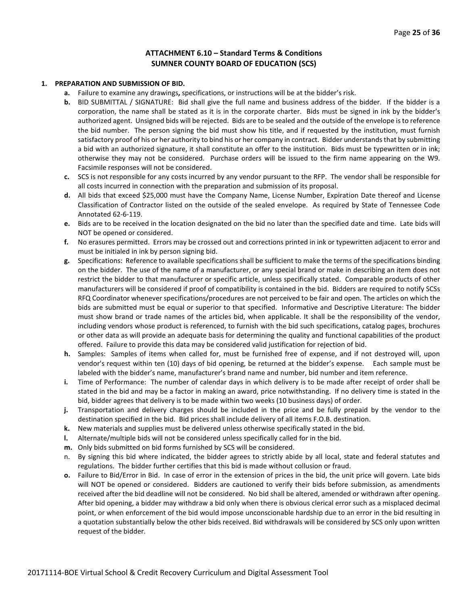#### **ATTACHMENT 6.10 – Standard Terms & Conditions SUMNER COUNTY BOARD OF EDUCATION (SCS)**

#### **1. PREPARATION AND SUBMISSION OF BID.**

- **a.** Failure to examine any drawings**,** specifications, or instructions will be at the bidder's risk.
- **b.** BID SUBMITTAL / SIGNATURE: Bid shall give the full name and business address of the bidder. If the bidder is a corporation, the name shall be stated as it is in the corporate charter. Bids must be signed in ink by the bidder's authorized agent. Unsigned bids will be rejected. Bids are to be sealed and the outside of the envelope is to reference the bid number. The person signing the bid must show his title, and if requested by the institution, must furnish satisfactory proof of his or her authority to bind his or her company in contract. Bidder understands that by submitting a bid with an authorized signature, it shall constitute an offer to the institution. Bids must be typewritten or in ink; otherwise they may not be considered. Purchase orders will be issued to the firm name appearing on the W9. Facsimile responses will not be considered.
- **c.** SCS is not responsible for any costs incurred by any vendor pursuant to the RFP. The vendor shall be responsible for all costs incurred in connection with the preparation and submission of its proposal.
- **d.** All bids that exceed \$25,000 must have the Company Name, License Number, Expiration Date thereof and License Classification of Contractor listed on the outside of the sealed envelope. As required by State of Tennessee Code Annotated 62-6-119.
- **e.** Bids are to be received in the location designated on the bid no later than the specified date and time. Late bids will NOT be opened or considered.
- **f.** No erasures permitted. Errors may be crossed out and corrections printed in ink or typewritten adjacent to error and must be initialed in ink by person signing bid.
- **g.** Specifications: Reference to available specifications shall be sufficient to make the terms of the specifications binding on the bidder. The use of the name of a manufacturer, or any special brand or make in describing an item does not restrict the bidder to that manufacturer or specific article, unless specifically stated. Comparable products of other manufacturers will be considered if proof of compatibility is contained in the bid. Bidders are required to notify SCSs RFQ Coordinator whenever specifications/procedures are not perceived to be fair and open. The articles on which the bids are submitted must be equal or superior to that specified. Informative and Descriptive Literature: The bidder must show brand or trade names of the articles bid, when applicable. It shall be the responsibility of the vendor, including vendors whose product is referenced, to furnish with the bid such specifications, catalog pages, brochures or other data as will provide an adequate basis for determining the quality and functional capabilities of the product offered. Failure to provide this data may be considered valid justification for rejection of bid.
- **h.** Samples: Samples of items when called for, must be furnished free of expense, and if not destroyed will, upon vendor's request within ten (10) days of bid opening, be returned at the bidder's expense. Each sample must be labeled with the bidder's name, manufacturer's brand name and number, bid number and item reference.
- **i.** Time of Performance: The number of calendar days in which delivery is to be made after receipt of order shall be stated in the bid and may be a factor in making an award, price notwithstanding. If no delivery time is stated in the bid, bidder agrees that delivery is to be made within two weeks (10 business days) of order.
- **j.** Transportation and delivery charges should be included in the price and be fully prepaid by the vendor to the destination specified in the bid. Bid prices shall include delivery of all items F.O.B. destination.
- **k.** New materials and supplies must be delivered unless otherwise specifically stated in the bid.
- **l.** Alternate/multiple bids will not be considered unless specifically called for in the bid.
- **m.** Only bids submitted on bid forms furnished by SCS will be considered.
- n. By signing this bid where indicated, the bidder agrees to strictly abide by all local, state and federal statutes and regulations. The bidder further certifies that this bid is made without collusion or fraud.
- **o.** Failure to Bid/Error in Bid. In case of error in the extension of prices in the bid, the unit price will govern. Late bids will NOT be opened or considered. Bidders are cautioned to verify their bids before submission, as amendments received after the bid deadline will not be considered. No bid shall be altered, amended or withdrawn after opening. After bid opening, a bidder may withdraw a bid only when there is obvious clerical error such as a misplaced decimal point, or when enforcement of the bid would impose unconscionable hardship due to an error in the bid resulting in a quotation substantially below the other bids received. Bid withdrawals will be considered by SCS only upon written request of the bidder.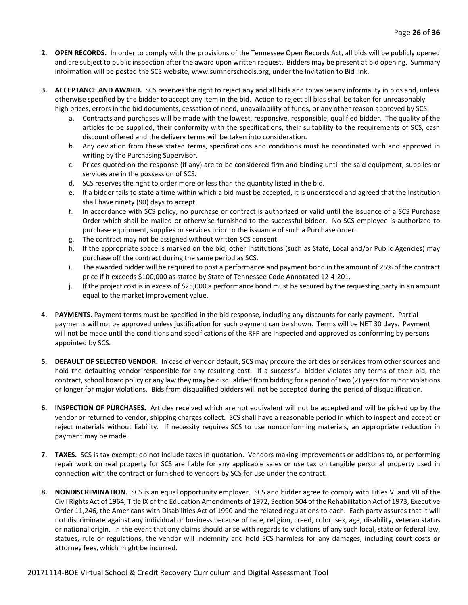- **2. OPEN RECORDS.** In order to comply with the provisions of the Tennessee Open Records Act, all bids will be publicly opened and are subject to public inspection after the award upon written request. Bidders may be present at bid opening. Summary information will be posted the SCS website, www.sumnerschools.org, under the Invitation to Bid link.
- **3. ACCEPTANCE AND AWARD.** SCS reserves the right to reject any and all bids and to waive any informality in bids and, unless otherwise specified by the bidder to accept any item in the bid. Action to reject all bids shall be taken for unreasonably high prices, errors in the bid documents, cessation of need, unavailability of funds, or any other reason approved by SCS.
	- a. Contracts and purchases will be made with the lowest, responsive, responsible, qualified bidder. The quality of the articles to be supplied, their conformity with the specifications, their suitability to the requirements of SCS, cash discount offered and the delivery terms will be taken into consideration.
	- b. Any deviation from these stated terms, specifications and conditions must be coordinated with and approved in writing by the Purchasing Supervisor.
	- c. Prices quoted on the response (if any) are to be considered firm and binding until the said equipment, supplies or services are in the possession of SCS.
	- d. SCS reserves the right to order more or less than the quantity listed in the bid.
	- e. If a bidder fails to state a time within which a bid must be accepted, it is understood and agreed that the Institution shall have ninety (90) days to accept.
	- f. In accordance with SCS policy, no purchase or contract is authorized or valid until the issuance of a SCS Purchase Order which shall be mailed or otherwise furnished to the successful bidder. No SCS employee is authorized to purchase equipment, supplies or services prior to the issuance of such a Purchase order.
	- g. The contract may not be assigned without written SCS consent.
	- h. If the appropriate space is marked on the bid, other Institutions (such as State, Local and/or Public Agencies) may purchase off the contract during the same period as SCS.
	- i. The awarded bidder will be required to post a performance and payment bond in the amount of 25% of the contract price if it exceeds \$100,000 as stated by State of Tennessee Code Annotated 12-4-201.
	- j. If the project cost is in excess of \$25,000 a performance bond must be secured by the requesting party in an amount equal to the market improvement value.
- **4. PAYMENTS.** Payment terms must be specified in the bid response, including any discounts for early payment. Partial payments will not be approved unless justification for such payment can be shown. Terms will be NET 30 days. Payment will not be made until the conditions and specifications of the RFP are inspected and approved as conforming by persons appointed by SCS.
- **5. DEFAULT OF SELECTED VENDOR.** In case of vendor default, SCS may procure the articles or services from other sources and hold the defaulting vendor responsible for any resulting cost. If a successful bidder violates any terms of their bid, the contract, school board policy or any law they may be disqualified from bidding for a period of two (2) years for minor violations or longer for major violations. Bids from disqualified bidders will not be accepted during the period of disqualification.
- **6. INSPECTION OF PURCHASES.** Articles received which are not equivalent will not be accepted and will be picked up by the vendor or returned to vendor, shipping charges collect. SCS shall have a reasonable period in which to inspect and accept or reject materials without liability. If necessity requires SCS to use nonconforming materials, an appropriate reduction in payment may be made.
- **7. TAXES.** SCS is tax exempt; do not include taxes in quotation. Vendors making improvements or additions to, or performing repair work on real property for SCS are liable for any applicable sales or use tax on tangible personal property used in connection with the contract or furnished to vendors by SCS for use under the contract.
- **8. NONDISCRIMINATION.** SCS is an equal opportunity employer. SCS and bidder agree to comply with Titles VI and VII of the Civil Rights Act of 1964, Title IX of the Education Amendments of 1972, Section 504 of the Rehabilitation Act of 1973, Executive Order 11,246, the Americans with Disabilities Act of 1990 and the related regulations to each. Each party assures that it will not discriminate against any individual or business because of race, religion, creed, color, sex, age, disability, veteran status or national origin. In the event that any claims should arise with regards to violations of any such local, state or federal law, statues, rule or regulations, the vendor will indemnify and hold SCS harmless for any damages, including court costs or attorney fees, which might be incurred.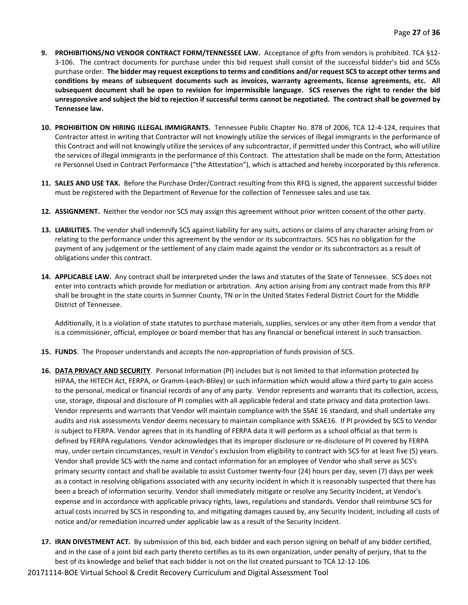- **9. PROHIBITIONS/NO VENDOR CONTRACT FORM/TENNESSEE LAW.** Acceptance of gifts from vendors is prohibited. TCA §12- 3-106. The contract documents for purchase under this bid request shall consist of the successful bidder's bid and SCSs purchase order. **The bidder may request exceptions to terms and conditions and/or request SCS to accept other terms and conditions by means of subsequent documents such as invoices, warranty agreements, license agreements, etc. All subsequent document shall be open to revision for impermissible language. SCS reserves the right to render the bid unresponsive and subject the bid to rejection if successful terms cannot be negotiated. The contract shall be governed by Tennessee law.**
- **10. PROHIBITION ON HIRING ILLEGAL IMMIGRANTS.** Tennessee Public Chapter No. 878 of 2006, TCA 12-4-124, requires that Contractor attest in writing that Contractor will not knowingly utilize the services of illegal immigrants in the performance of this Contract and will not knowingly utilize the services of any subcontractor, if permitted under this Contract, who will utilize the services of illegal immigrants in the performance of this Contract. The attestation shall be made on the form, Attestation re Personnel Used in Contract Performance ("the Attestation"), which is attached and hereby incorporated by this reference.
- **11. SALES AND USE TAX.** Before the Purchase Order/Contract resulting from this RFQ is signed, the apparent successful bidder must be registered with the Department of Revenue for the collection of Tennessee sales and use tax.
- **12. ASSIGNMENT.** Neither the vendor nor SCS may assign this agreement without prior written consent of the other party.
- **13. LIABILITIES.** The vendor shall indemnify SCS against liability for any suits, actions or claims of any character arising from or relating to the performance under this agreement by the vendor or its subcontractors. SCS has no obligation for the payment of any judgement or the settlement of any claim made against the vendor or its subcontractors as a result of obligations under this contract.
- **14. APPLICABLE LAW.** Any contract shall be interpreted under the laws and statutes of the State of Tennessee. SCS does not enter into contracts which provide for mediation or arbitration. Any action arising from any contract made from this RFP shall be brought in the state courts in Sumner County, TN or in the United States Federal District Court for the Middle District of Tennessee.

Additionally, it is a violation of state statutes to purchase materials, supplies, services or any other item from a vendor that is a commissioner, official, employee or board member that has any financial or beneficial interest in such transaction.

- **15. FUNDS**. The Proposer understands and accepts the non-appropriation of funds provision of SCS.
- **16. DATA PRIVACY AND SECURITY**. Personal Information (PI) includes but is not limited to that information protected by HIPAA, the HITECH Act, FERPA, or Gramm-Leach-Bliley) or such information which would allow a third party to gain access to the personal, medical or financial records of any of any party. Vendor represents and warrants that its collection, access, use, storage, disposal and disclosure of PI complies with all applicable federal and state privacy and data protection laws. Vendor represents and warrants that Vendor will maintain compliance with the SSAE 16 standard, and shall undertake any audits and risk assessments Vendor deems necessary to maintain compliance with SSAE16. If PI provided by SCS to Vendor is subject to FERPA. Vendor agrees that in its handling of FERPA data it will perform as a school official as that term is defined by FERPA regulations. Vendor acknowledges that its improper disclosure or re-disclosure of PI covered by FERPA may, under certain circumstances, result in Vendor's exclusion from eligibility to contract with SCS for at least five (5) years. Vendor shall provide SCS with the name and contact information for an employee of Vendor who shall serve as SCS's primary security contact and shall be available to assist Customer twenty-four (24) hours per day, seven (7) days per week as a contact in resolving obligations associated with any security incident in which it is reasonably suspected that there has been a breach of information security. Vendor shall immediately mitigate or resolve any Security Incident, at Vendor's expense and in accordance with applicable privacy rights, laws, regulations and standards. Vendor shall reimburse SCS for actual costs incurred by SCS in responding to, and mitigating damages caused by, any Security Incident, including all costs of notice and/or remediation incurred under applicable law as a result of the Security Incident.
- **17. IRAN DIVESTMENT ACT.** By submission of this bid, each bidder and each person signing on behalf of any bidder certified, and in the case of a joint bid each party thereto certifies as to its own organization, under penalty of perjury, that to the best of its knowledge and belief that each bidder is not on the list created pursuant to TCA 12-12-106.
- 20171114-BOE Virtual School & Credit Recovery Curriculum and Digital Assessment Tool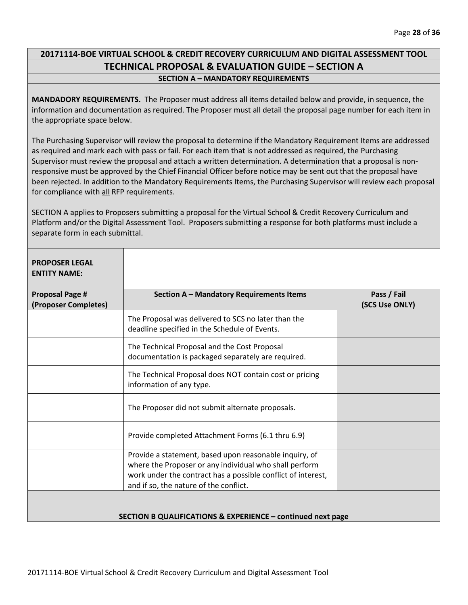# **20171114-BOE VIRTUAL SCHOOL & CREDIT RECOVERY CURRICULUM AND DIGITAL ASSESSMENT TOOL TECHNICAL PROPOSAL & EVALUATION GUIDE – SECTION A SECTION A – MANDATORY REQUIREMENTS**

**MANDADORY REQUIREMENTS.** The Proposer must address all items detailed below and provide, in sequence, the information and documentation as required. The Proposer must all detail the proposal page number for each item in the appropriate space below.

The Purchasing Supervisor will review the proposal to determine if the Mandatory Requirement Items are addressed as required and mark each with pass or fail. For each item that is not addressed as required, the Purchasing Supervisor must review the proposal and attach a written determination. A determination that a proposal is nonresponsive must be approved by the Chief Financial Officer before notice may be sent out that the proposal have been rejected. In addition to the Mandatory Requirements Items, the Purchasing Supervisor will review each proposal for compliance with all RFP requirements.

SECTION A applies to Proposers submitting a proposal for the Virtual School & Credit Recovery Curriculum and Platform and/or the Digital Assessment Tool. Proposers submitting a response for both platforms must include a separate form in each submittal.

| <b>PROPOSER LEGAL</b><br><b>ENTITY NAME:</b>                |                                                                                                                                                                                                                            |                               |  |  |
|-------------------------------------------------------------|----------------------------------------------------------------------------------------------------------------------------------------------------------------------------------------------------------------------------|-------------------------------|--|--|
| <b>Proposal Page #</b><br>(Proposer Completes)              | Section A - Mandatory Requirements Items                                                                                                                                                                                   | Pass / Fail<br>(SCS Use ONLY) |  |  |
|                                                             | The Proposal was delivered to SCS no later than the<br>deadline specified in the Schedule of Events.                                                                                                                       |                               |  |  |
|                                                             | The Technical Proposal and the Cost Proposal<br>documentation is packaged separately are required.                                                                                                                         |                               |  |  |
|                                                             | The Technical Proposal does NOT contain cost or pricing<br>information of any type.                                                                                                                                        |                               |  |  |
|                                                             | The Proposer did not submit alternate proposals.                                                                                                                                                                           |                               |  |  |
|                                                             | Provide completed Attachment Forms (6.1 thru 6.9)                                                                                                                                                                          |                               |  |  |
|                                                             | Provide a statement, based upon reasonable inquiry, of<br>where the Proposer or any individual who shall perform<br>work under the contract has a possible conflict of interest,<br>and if so, the nature of the conflict. |                               |  |  |
| SECTION B QUALIFICATIONS & EXPERIENCE - continued next page |                                                                                                                                                                                                                            |                               |  |  |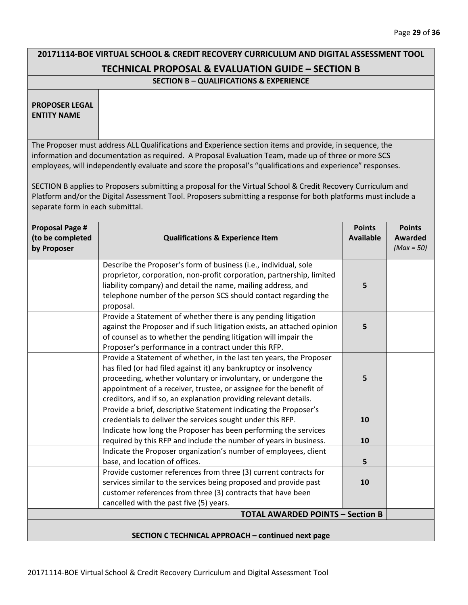# **20171114-BOE VIRTUAL SCHOOL & CREDIT RECOVERY CURRICULUM AND DIGITAL ASSESSMENT TOOL TECHNICAL PROPOSAL & EVALUATION GUIDE – SECTION B**

#### **SECTION B – QUALIFICATIONS & EXPERIENCE**

**PROPOSER LEGAL ENTITY NAME**

The Proposer must address ALL Qualifications and Experience section items and provide, in sequence, the information and documentation as required. A Proposal Evaluation Team, made up of three or more SCS employees, will independently evaluate and score the proposal's "qualifications and experience" responses.

SECTION B applies to Proposers submitting a proposal for the Virtual School & Credit Recovery Curriculum and Platform and/or the Digital Assessment Tool. Proposers submitting a response for both platforms must include a separate form in each submittal.

| <b>Proposal Page #</b><br>(to be completed<br>by Proposer | <b>Qualifications &amp; Experience Item</b>                                                                                                                                                                                                                                                                                                         | <b>Points</b><br><b>Available</b> | <b>Points</b><br><b>Awarded</b><br>$(Max = 50)$ |
|-----------------------------------------------------------|-----------------------------------------------------------------------------------------------------------------------------------------------------------------------------------------------------------------------------------------------------------------------------------------------------------------------------------------------------|-----------------------------------|-------------------------------------------------|
|                                                           | Describe the Proposer's form of business (i.e., individual, sole<br>proprietor, corporation, non-profit corporation, partnership, limited<br>liability company) and detail the name, mailing address, and<br>telephone number of the person SCS should contact regarding the<br>proposal.                                                           | 5                                 |                                                 |
|                                                           | Provide a Statement of whether there is any pending litigation<br>against the Proposer and if such litigation exists, an attached opinion<br>of counsel as to whether the pending litigation will impair the<br>Proposer's performance in a contract under this RFP.                                                                                | 5                                 |                                                 |
|                                                           | Provide a Statement of whether, in the last ten years, the Proposer<br>has filed (or had filed against it) any bankruptcy or insolvency<br>proceeding, whether voluntary or involuntary, or undergone the<br>appointment of a receiver, trustee, or assignee for the benefit of<br>creditors, and if so, an explanation providing relevant details. | 5                                 |                                                 |
|                                                           | Provide a brief, descriptive Statement indicating the Proposer's<br>credentials to deliver the services sought under this RFP.                                                                                                                                                                                                                      | 10                                |                                                 |
|                                                           | Indicate how long the Proposer has been performing the services<br>required by this RFP and include the number of years in business.                                                                                                                                                                                                                | 10                                |                                                 |
|                                                           | Indicate the Proposer organization's number of employees, client<br>base, and location of offices.                                                                                                                                                                                                                                                  | 5                                 |                                                 |
|                                                           | Provide customer references from three (3) current contracts for<br>services similar to the services being proposed and provide past<br>customer references from three (3) contracts that have been<br>cancelled with the past five (5) years.                                                                                                      | 10                                |                                                 |
|                                                           | <b>TOTAL AWARDED POINTS - Section B</b>                                                                                                                                                                                                                                                                                                             |                                   |                                                 |
| SECTION C TECHNICAL APPROACH - continued next page        |                                                                                                                                                                                                                                                                                                                                                     |                                   |                                                 |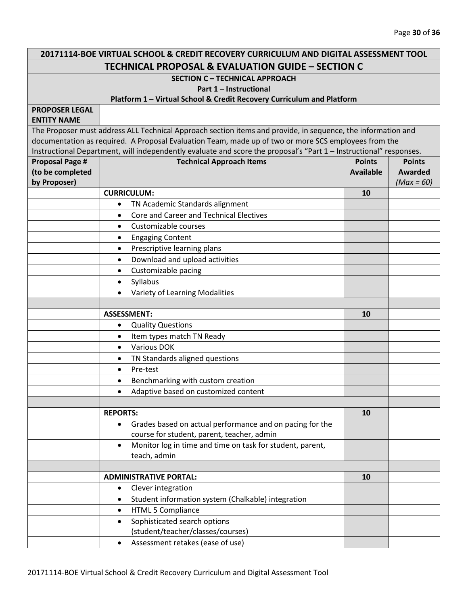| 20171114-BOE VIRTUAL SCHOOL & CREDIT RECOVERY CURRICULUM AND DIGITAL ASSESSMENT TOOL |                                                                                                                                                                                                                      |                  |              |
|--------------------------------------------------------------------------------------|----------------------------------------------------------------------------------------------------------------------------------------------------------------------------------------------------------------------|------------------|--------------|
| <b>TECHNICAL PROPOSAL &amp; EVALUATION GUIDE - SECTION C</b>                         |                                                                                                                                                                                                                      |                  |              |
| <b>SECTION C - TECHNICAL APPROACH</b>                                                |                                                                                                                                                                                                                      |                  |              |
| Part 1 - Instructional                                                               |                                                                                                                                                                                                                      |                  |              |
|                                                                                      | Platform 1 - Virtual School & Credit Recovery Curriculum and Platform                                                                                                                                                |                  |              |
| <b>PROPOSER LEGAL</b>                                                                |                                                                                                                                                                                                                      |                  |              |
| <b>ENTITY NAME</b>                                                                   |                                                                                                                                                                                                                      |                  |              |
|                                                                                      | The Proposer must address ALL Technical Approach section items and provide, in sequence, the information and<br>documentation as required. A Proposal Evaluation Team, made up of two or more SCS employees from the |                  |              |
|                                                                                      |                                                                                                                                                                                                                      |                  |              |
| <b>Proposal Page #</b>                                                               | Instructional Department, will independently evaluate and score the proposal's "Part 1 - Instructional" responses.<br><b>Technical Approach Items</b><br><b>Points</b><br><b>Points</b>                              |                  |              |
| (to be completed                                                                     |                                                                                                                                                                                                                      | <b>Available</b> | Awarded      |
| by Proposer)                                                                         |                                                                                                                                                                                                                      |                  | $(Max = 60)$ |
|                                                                                      | <b>CURRICULUM:</b>                                                                                                                                                                                                   | 10               |              |
|                                                                                      | TN Academic Standards alignment<br>$\bullet$                                                                                                                                                                         |                  |              |
|                                                                                      | Core and Career and Technical Electives<br>$\bullet$                                                                                                                                                                 |                  |              |
|                                                                                      | Customizable courses<br>$\bullet$                                                                                                                                                                                    |                  |              |
|                                                                                      | <b>Engaging Content</b><br>$\bullet$                                                                                                                                                                                 |                  |              |
|                                                                                      | Prescriptive learning plans<br>$\bullet$                                                                                                                                                                             |                  |              |
|                                                                                      | Download and upload activities<br>$\bullet$                                                                                                                                                                          |                  |              |
|                                                                                      | Customizable pacing<br>$\bullet$                                                                                                                                                                                     |                  |              |
|                                                                                      | Syllabus<br>$\bullet$                                                                                                                                                                                                |                  |              |
|                                                                                      | Variety of Learning Modalities<br>$\bullet$                                                                                                                                                                          |                  |              |
|                                                                                      |                                                                                                                                                                                                                      |                  |              |
|                                                                                      | <b>ASSESSMENT:</b>                                                                                                                                                                                                   | 10               |              |
|                                                                                      | <b>Quality Questions</b><br>$\bullet$                                                                                                                                                                                |                  |              |
|                                                                                      | Item types match TN Ready<br>$\bullet$                                                                                                                                                                               |                  |              |
|                                                                                      | <b>Various DOK</b><br>$\bullet$                                                                                                                                                                                      |                  |              |
|                                                                                      | TN Standards aligned questions<br>$\bullet$                                                                                                                                                                          |                  |              |
|                                                                                      | Pre-test<br>$\bullet$                                                                                                                                                                                                |                  |              |
|                                                                                      | Benchmarking with custom creation<br>$\bullet$                                                                                                                                                                       |                  |              |
|                                                                                      | Adaptive based on customized content<br>٠                                                                                                                                                                            |                  |              |
|                                                                                      |                                                                                                                                                                                                                      |                  |              |
|                                                                                      | <b>REPORTS:</b>                                                                                                                                                                                                      | <b>10</b>        |              |
|                                                                                      | Grades based on actual performance and on pacing for the<br>$\bullet$                                                                                                                                                |                  |              |
|                                                                                      | course for student, parent, teacher, admin<br>Monitor log in time and time on task for student, parent,<br>$\bullet$                                                                                                 |                  |              |
|                                                                                      | teach, admin                                                                                                                                                                                                         |                  |              |
|                                                                                      |                                                                                                                                                                                                                      |                  |              |
|                                                                                      | <b>ADMINISTRATIVE PORTAL:</b>                                                                                                                                                                                        | 10               |              |
|                                                                                      | Clever integration<br>$\bullet$                                                                                                                                                                                      |                  |              |
|                                                                                      | Student information system (Chalkable) integration<br>$\bullet$                                                                                                                                                      |                  |              |
|                                                                                      | <b>HTML 5 Compliance</b><br>$\bullet$                                                                                                                                                                                |                  |              |
|                                                                                      | Sophisticated search options<br>$\bullet$                                                                                                                                                                            |                  |              |
|                                                                                      | (student/teacher/classes/courses)                                                                                                                                                                                    |                  |              |
|                                                                                      | Assessment retakes (ease of use)<br>$\bullet$                                                                                                                                                                        |                  |              |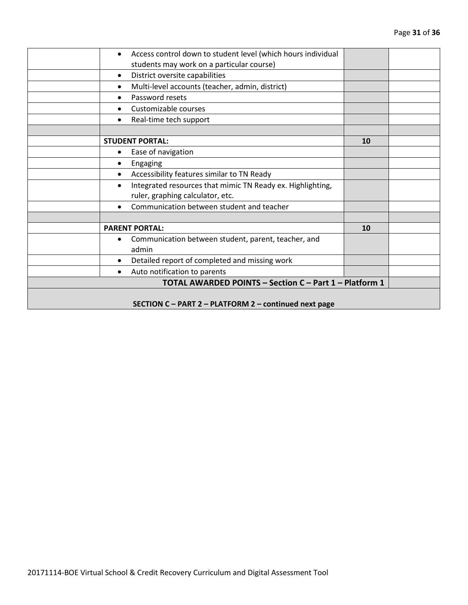|                                                        | Access control down to student level (which hours individual<br>$\bullet$ |    |  |
|--------------------------------------------------------|---------------------------------------------------------------------------|----|--|
|                                                        | students may work on a particular course)                                 |    |  |
|                                                        | District oversite capabilities<br>$\bullet$                               |    |  |
|                                                        | Multi-level accounts (teacher, admin, district)<br>$\bullet$              |    |  |
|                                                        | Password resets<br>$\bullet$                                              |    |  |
|                                                        | Customizable courses                                                      |    |  |
|                                                        | Real-time tech support<br>$\bullet$                                       |    |  |
|                                                        |                                                                           |    |  |
|                                                        | <b>STUDENT PORTAL:</b>                                                    | 10 |  |
|                                                        | Ease of navigation<br>$\bullet$                                           |    |  |
|                                                        | Engaging<br>٠                                                             |    |  |
|                                                        | Accessibility features similar to TN Ready<br>٠                           |    |  |
|                                                        | Integrated resources that mimic TN Ready ex. Highlighting,<br>$\bullet$   |    |  |
|                                                        | ruler, graphing calculator, etc.                                          |    |  |
|                                                        | Communication between student and teacher<br>$\bullet$                    |    |  |
|                                                        |                                                                           |    |  |
|                                                        | <b>PARENT PORTAL:</b>                                                     | 10 |  |
|                                                        | Communication between student, parent, teacher, and<br>$\bullet$          |    |  |
|                                                        | admin                                                                     |    |  |
|                                                        | Detailed report of completed and missing work<br>$\bullet$                |    |  |
|                                                        | Auto notification to parents<br>$\bullet$                                 |    |  |
| TOTAL AWARDED POINTS - Section C - Part 1 - Platform 1 |                                                                           |    |  |
|                                                        |                                                                           |    |  |
|                                                        | SECTION C - PART 2 - PLATFORM 2 - continued next page                     |    |  |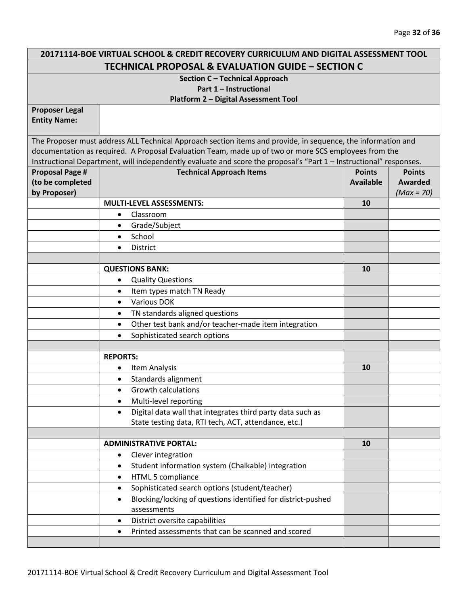| 20171114-BOE VIRTUAL SCHOOL & CREDIT RECOVERY CURRICULUM AND DIGITAL ASSESSMENT TOOL |                                                                                                                                                                                                                      |                  |               |
|--------------------------------------------------------------------------------------|----------------------------------------------------------------------------------------------------------------------------------------------------------------------------------------------------------------------|------------------|---------------|
| <b>TECHNICAL PROPOSAL &amp; EVALUATION GUIDE - SECTION C</b>                         |                                                                                                                                                                                                                      |                  |               |
| Section C - Technical Approach                                                       |                                                                                                                                                                                                                      |                  |               |
| Part 1 - Instructional                                                               |                                                                                                                                                                                                                      |                  |               |
|                                                                                      | Platform 2 - Digital Assessment Tool                                                                                                                                                                                 |                  |               |
| <b>Proposer Legal</b>                                                                |                                                                                                                                                                                                                      |                  |               |
| <b>Entity Name:</b>                                                                  |                                                                                                                                                                                                                      |                  |               |
|                                                                                      |                                                                                                                                                                                                                      |                  |               |
|                                                                                      | The Proposer must address ALL Technical Approach section items and provide, in sequence, the information and<br>documentation as required. A Proposal Evaluation Team, made up of two or more SCS employees from the |                  |               |
|                                                                                      | Instructional Department, will independently evaluate and score the proposal's "Part 1 - Instructional" responses.                                                                                                   |                  |               |
| <b>Proposal Page #</b>                                                               | <b>Technical Approach Items</b>                                                                                                                                                                                      | <b>Points</b>    | <b>Points</b> |
| (to be completed                                                                     |                                                                                                                                                                                                                      | <b>Available</b> | Awarded       |
| by Proposer)                                                                         |                                                                                                                                                                                                                      |                  | $(Max = 70)$  |
|                                                                                      | <b>MULTI-LEVEL ASSESSMENTS:</b>                                                                                                                                                                                      | 10               |               |
|                                                                                      | Classroom<br>$\bullet$                                                                                                                                                                                               |                  |               |
|                                                                                      | Grade/Subject<br>$\bullet$                                                                                                                                                                                           |                  |               |
|                                                                                      | School<br>$\bullet$                                                                                                                                                                                                  |                  |               |
|                                                                                      | <b>District</b><br>$\bullet$                                                                                                                                                                                         |                  |               |
|                                                                                      |                                                                                                                                                                                                                      |                  |               |
|                                                                                      | <b>QUESTIONS BANK:</b>                                                                                                                                                                                               | 10               |               |
|                                                                                      | <b>Quality Questions</b><br>$\bullet$                                                                                                                                                                                |                  |               |
|                                                                                      | Item types match TN Ready<br>$\bullet$                                                                                                                                                                               |                  |               |
|                                                                                      | <b>Various DOK</b><br>$\bullet$                                                                                                                                                                                      |                  |               |
|                                                                                      | TN standards aligned questions<br>$\bullet$                                                                                                                                                                          |                  |               |
|                                                                                      | Other test bank and/or teacher-made item integration<br>$\bullet$                                                                                                                                                    |                  |               |
|                                                                                      | Sophisticated search options<br>$\bullet$                                                                                                                                                                            |                  |               |
|                                                                                      |                                                                                                                                                                                                                      |                  |               |
|                                                                                      | <b>REPORTS:</b>                                                                                                                                                                                                      |                  |               |
|                                                                                      | <b>Item Analysis</b><br>$\bullet$                                                                                                                                                                                    | 10               |               |
|                                                                                      | Standards alignment<br>$\bullet$                                                                                                                                                                                     |                  |               |
|                                                                                      | Growth calculations<br>$\bullet$                                                                                                                                                                                     |                  |               |
|                                                                                      | Multi-level reporting<br>$\bullet$                                                                                                                                                                                   |                  |               |
|                                                                                      | Digital data wall that integrates third party data such as<br>$\bullet$                                                                                                                                              |                  |               |
|                                                                                      | State testing data, RTI tech, ACT, attendance, etc.)                                                                                                                                                                 |                  |               |
|                                                                                      |                                                                                                                                                                                                                      |                  |               |
|                                                                                      | <b>ADMINISTRATIVE PORTAL:</b>                                                                                                                                                                                        | 10               |               |
|                                                                                      | Clever integration<br>$\bullet$                                                                                                                                                                                      |                  |               |
|                                                                                      | Student information system (Chalkable) integration<br>$\bullet$                                                                                                                                                      |                  |               |
|                                                                                      | HTML 5 compliance<br>$\bullet$                                                                                                                                                                                       |                  |               |
|                                                                                      | Sophisticated search options (student/teacher)<br>$\bullet$                                                                                                                                                          |                  |               |
|                                                                                      | Blocking/locking of questions identified for district-pushed<br>$\bullet$                                                                                                                                            |                  |               |
|                                                                                      | assessments                                                                                                                                                                                                          |                  |               |
|                                                                                      | District oversite capabilities<br>$\bullet$                                                                                                                                                                          |                  |               |
|                                                                                      | Printed assessments that can be scanned and scored<br>$\bullet$                                                                                                                                                      |                  |               |
|                                                                                      |                                                                                                                                                                                                                      |                  |               |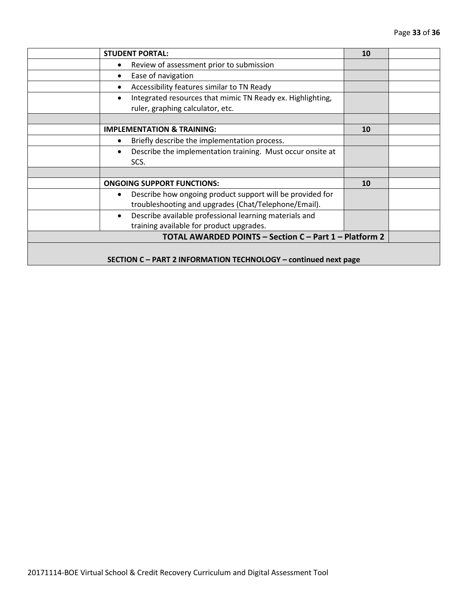|                                                                 | <b>STUDENT PORTAL:</b>                                                                                                         | 10 |  |
|-----------------------------------------------------------------|--------------------------------------------------------------------------------------------------------------------------------|----|--|
|                                                                 | Review of assessment prior to submission<br>$\bullet$                                                                          |    |  |
|                                                                 | Ease of navigation<br>$\bullet$                                                                                                |    |  |
|                                                                 | Accessibility features similar to TN Ready<br>$\bullet$                                                                        |    |  |
|                                                                 | Integrated resources that mimic TN Ready ex. Highlighting,<br>$\bullet$<br>ruler, graphing calculator, etc.                    |    |  |
|                                                                 |                                                                                                                                |    |  |
|                                                                 | <b>IMPLEMENTATION &amp; TRAINING:</b>                                                                                          | 10 |  |
|                                                                 | Briefly describe the implementation process.<br>$\bullet$                                                                      |    |  |
|                                                                 | Describe the implementation training. Must occur onsite at<br>$\bullet$<br>SCS.                                                |    |  |
|                                                                 |                                                                                                                                |    |  |
|                                                                 | <b>ONGOING SUPPORT FUNCTIONS:</b>                                                                                              | 10 |  |
|                                                                 | Describe how ongoing product support will be provided for<br>$\bullet$<br>troubleshooting and upgrades (Chat/Telephone/Email). |    |  |
|                                                                 | Describe available professional learning materials and<br>$\bullet$<br>training available for product upgrades.                |    |  |
| TOTAL AWARDED POINTS - Section C - Part 1 - Platform 2          |                                                                                                                                |    |  |
| SECTION C - PART 2 INFORMATION TECHNOLOGY - continued next page |                                                                                                                                |    |  |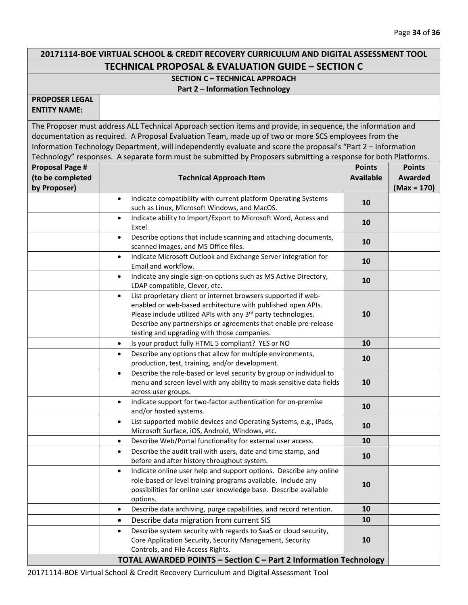# **20171114-BOE VIRTUAL SCHOOL & CREDIT RECOVERY CURRICULUM AND DIGITAL ASSESSMENT TOOL TECHNICAL PROPOSAL & EVALUATION GUIDE – SECTION C**

#### **SECTION C – TECHNICAL APPROACH Part 2 – Information Technology**

**PROPOSER LEGAL ENTITY NAME:**

The Proposer must address ALL Technical Approach section items and provide, in sequence, the information and documentation as required. A Proposal Evaluation Team, made up of two or more SCS employees from the Information Technology Department, will independently evaluate and score the proposal's "Part 2 – Information Technology" responses. A separate form must be submitted by Proposers submitting a response for both Platforms.

| <b>Proposal Page #</b><br>(to be completed<br>by Proposer) | <b>Technical Approach Item</b>                                                                                                                                                                                                                                                                                                | <b>Points</b><br><b>Available</b> | <b>Points</b><br><b>Awarded</b><br>$(Max = 170)$ |
|------------------------------------------------------------|-------------------------------------------------------------------------------------------------------------------------------------------------------------------------------------------------------------------------------------------------------------------------------------------------------------------------------|-----------------------------------|--------------------------------------------------|
|                                                            | Indicate compatibility with current platform Operating Systems<br>$\bullet$<br>such as Linux, Microsoft Windows, and MacOS.                                                                                                                                                                                                   | 10                                |                                                  |
|                                                            | Indicate ability to Import/Export to Microsoft Word, Access and<br>$\bullet$<br>Excel.                                                                                                                                                                                                                                        | 10                                |                                                  |
|                                                            | Describe options that include scanning and attaching documents,<br>$\bullet$<br>scanned images, and MS Office files.                                                                                                                                                                                                          | 10                                |                                                  |
|                                                            | Indicate Microsoft Outlook and Exchange Server integration for<br>$\bullet$<br>Email and workflow.                                                                                                                                                                                                                            | 10                                |                                                  |
|                                                            | Indicate any single sign-on options such as MS Active Directory,<br>$\bullet$<br>LDAP compatible, Clever, etc.                                                                                                                                                                                                                | 10                                |                                                  |
|                                                            | List proprietary client or internet browsers supported if web-<br>$\bullet$<br>enabled or web-based architecture with published open APIs.<br>Please include utilized APIs with any 3rd party technologies.<br>Describe any partnerships or agreements that enable pre-release<br>testing and upgrading with those companies. | 10                                |                                                  |
|                                                            | Is your product fully HTML 5 compliant? YES or NO<br>$\bullet$                                                                                                                                                                                                                                                                | 10                                |                                                  |
|                                                            | Describe any options that allow for multiple environments,<br>$\bullet$<br>production, test, training, and/or development.                                                                                                                                                                                                    | 10                                |                                                  |
|                                                            | Describe the role-based or level security by group or individual to<br>$\bullet$<br>menu and screen level with any ability to mask sensitive data fields<br>across user groups.                                                                                                                                               | 10                                |                                                  |
|                                                            | Indicate support for two-factor authentication for on-premise<br>$\bullet$<br>and/or hosted systems.                                                                                                                                                                                                                          | 10                                |                                                  |
|                                                            | List supported mobile devices and Operating Systems, e.g., iPads,<br>$\bullet$<br>Microsoft Surface, iOS, Android, Windows, etc.                                                                                                                                                                                              | 10                                |                                                  |
|                                                            | Describe Web/Portal functionality for external user access.<br>$\bullet$                                                                                                                                                                                                                                                      | 10                                |                                                  |
|                                                            | Describe the audit trail with users, date and time stamp, and<br>$\bullet$<br>before and after history throughout system.                                                                                                                                                                                                     | 10                                |                                                  |
|                                                            | Indicate online user help and support options. Describe any online<br>$\bullet$<br>role-based or level training programs available. Include any<br>possibilities for online user knowledge base. Describe available<br>options.                                                                                               | 10                                |                                                  |
|                                                            | Describe data archiving, purge capabilities, and record retention.<br>$\bullet$                                                                                                                                                                                                                                               | 10                                |                                                  |
|                                                            | Describe data migration from current SIS<br>$\bullet$                                                                                                                                                                                                                                                                         | 10                                |                                                  |
|                                                            | Describe system security with regards to SaaS or cloud security,<br>$\bullet$<br>Core Application Security, Security Management, Security<br>Controls, and File Access Rights.                                                                                                                                                | 10                                |                                                  |
|                                                            | TOTAL AWARDED POINTS - Section C - Part 2 Information Technology                                                                                                                                                                                                                                                              |                                   |                                                  |

20171114-BOE Virtual School & Credit Recovery Curriculum and Digital Assessment Tool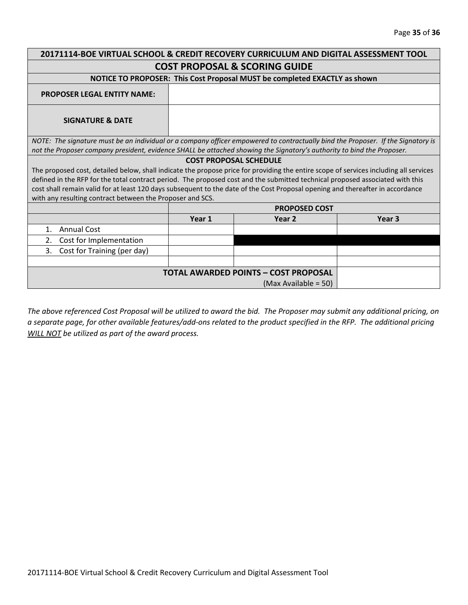| 20171114-BOE VIRTUAL SCHOOL & CREDIT RECOVERY CURRICULUM AND DIGITAL ASSESSMENT TOOL                                                  |        |                                                                           |                   |  |
|---------------------------------------------------------------------------------------------------------------------------------------|--------|---------------------------------------------------------------------------|-------------------|--|
| <b>COST PROPOSAL &amp; SCORING GUIDE</b>                                                                                              |        |                                                                           |                   |  |
|                                                                                                                                       |        | NOTICE TO PROPOSER: This Cost Proposal MUST be completed EXACTLY as shown |                   |  |
| <b>PROPOSER LEGAL ENTITY NAME:</b>                                                                                                    |        |                                                                           |                   |  |
| <b>SIGNATURE &amp; DATE</b>                                                                                                           |        |                                                                           |                   |  |
| NOTE: The signature must be an individual or a company officer empowered to contractually bind the Proposer. If the Signatory is      |        |                                                                           |                   |  |
| not the Proposer company president, evidence SHALL be attached showing the Signatory's authority to bind the Proposer.                |        |                                                                           |                   |  |
|                                                                                                                                       |        | <b>COST PROPOSAL SCHEDULE</b>                                             |                   |  |
| The proposed cost, detailed below, shall indicate the propose price for providing the entire scope of services including all services |        |                                                                           |                   |  |
| defined in the RFP for the total contract period. The proposed cost and the submitted technical proposed associated with this         |        |                                                                           |                   |  |
| cost shall remain valid for at least 120 days subsequent to the date of the Cost Proposal opening and thereafter in accordance        |        |                                                                           |                   |  |
| with any resulting contract between the Proposer and SCS.                                                                             |        |                                                                           |                   |  |
|                                                                                                                                       |        | <b>PROPOSED COST</b>                                                      |                   |  |
|                                                                                                                                       | Year 1 | Year <sub>2</sub>                                                         | Year <sub>3</sub> |  |
| <b>Annual Cost</b><br>$\mathbf{1}$ .                                                                                                  |        |                                                                           |                   |  |
| Cost for Implementation<br>2.                                                                                                         |        |                                                                           |                   |  |
| 3.<br>Cost for Training (per day)                                                                                                     |        |                                                                           |                   |  |
|                                                                                                                                       |        |                                                                           |                   |  |
| <b>TOTAL AWARDED POINTS - COST PROPOSAL</b>                                                                                           |        |                                                                           |                   |  |
|                                                                                                                                       |        | (Max Available = 50)                                                      |                   |  |
|                                                                                                                                       |        |                                                                           |                   |  |

*The above referenced Cost Proposal will be utilized to award the bid. The Proposer may submit any additional pricing, on a separate page, for other available features/add-ons related to the product specified in the RFP. The additional pricing WILL NOT be utilized as part of the award process.*